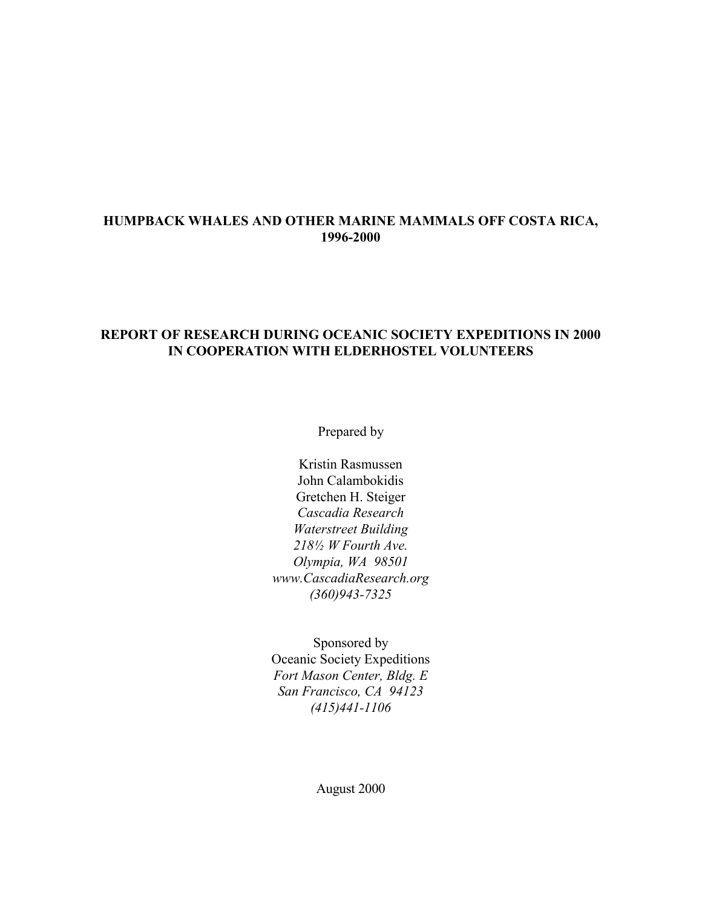### **HUMPBACK WHALES AND OTHER MARINE MAMMALS OFF COSTA RICA, 1996-2000**

### **REPORT OF RESEARCH DURING OCEANIC SOCIETY EXPEDITIONS IN 2000 IN COOPERATION WITH ELDERHOSTEL VOLUNTEERS**

Prepared by

Kristin Rasmussen John Calambokidis Gretchen H. Steiger *Cascadia Research Waterstreet Building 218½ W Fourth Ave. Olympia, WA 98501 www.CascadiaResearch.org (360)943-7325*

Sponsored by Oceanic Society Expeditions *Fort Mason Center, Bldg. E San Francisco, CA 94123 (415)441-1106*

August 2000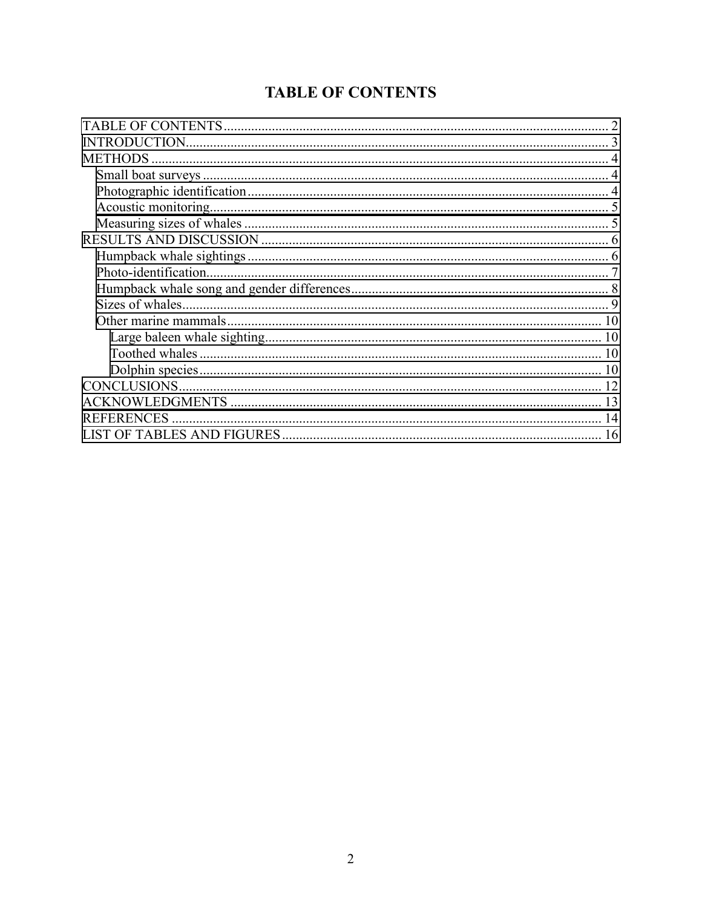# **TABLE OF CONTENTS**

| <b>METHODS</b>        |
|-----------------------|
|                       |
|                       |
|                       |
|                       |
|                       |
|                       |
| Photo-identification. |
|                       |
|                       |
| 10                    |
|                       |
|                       |
|                       |
|                       |
|                       |
| <b>REFERENCES</b>     |
| 16                    |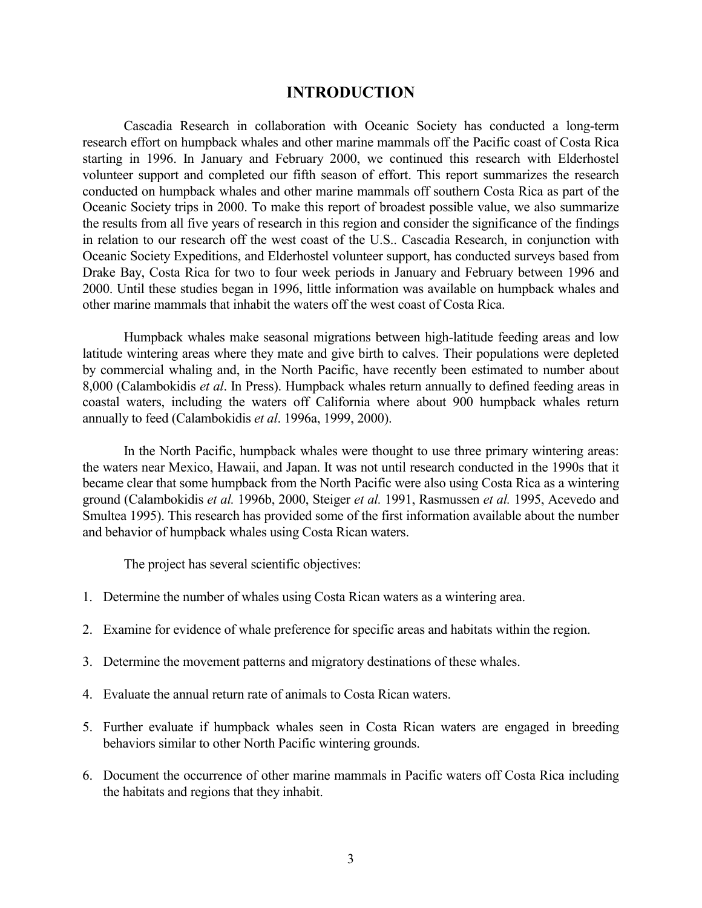### **INTRODUCTION**

<span id="page-2-0"></span>Cascadia Research in collaboration with Oceanic Society has conducted a long-term research effort on humpback whales and other marine mammals off the Pacific coast of Costa Rica starting in 1996. In January and February 2000, we continued this research with Elderhostel volunteer support and completed our fifth season of effort. This report summarizes the research conducted on humpback whales and other marine mammals off southern Costa Rica as part of the Oceanic Society trips in 2000. To make this report of broadest possible value, we also summarize the results from all five years of research in this region and consider the significance of the findings in relation to our research off the west coast of the U.S.. Cascadia Research, in conjunction with Oceanic Society Expeditions, and Elderhostel volunteer support, has conducted surveys based from Drake Bay, Costa Rica for two to four week periods in January and February between 1996 and 2000. Until these studies began in 1996, little information was available on humpback whales and other marine mammals that inhabit the waters off the west coast of Costa Rica.

Humpback whales make seasonal migrations between high-latitude feeding areas and low latitude wintering areas where they mate and give birth to calves. Their populations were depleted by commercial whaling and, in the North Pacific, have recently been estimated to number about 8,000 (Calambokidis *et al*. In Press). Humpback whales return annually to defined feeding areas in coastal waters, including the waters off California where about 900 humpback whales return annually to feed (Calambokidis *et al*. 1996a, 1999, 2000).

In the North Pacific, humpback whales were thought to use three primary wintering areas: the waters near Mexico, Hawaii, and Japan. It was not until research conducted in the 1990s that it became clear that some humpback from the North Pacific were also using Costa Rica as a wintering ground (Calambokidis *et al.* 1996b, 2000, Steiger *et al.* 1991, Rasmussen *et al.* 1995, Acevedo and Smultea 1995). This research has provided some of the first information available about the number and behavior of humpback whales using Costa Rican waters.

The project has several scientific objectives:

- 1. Determine the number of whales using Costa Rican waters as a wintering area.
- 2. Examine for evidence of whale preference for specific areas and habitats within the region.
- 3. Determine the movement patterns and migratory destinations of these whales.
- 4. Evaluate the annual return rate of animals to Costa Rican waters.
- 5. Further evaluate if humpback whales seen in Costa Rican waters are engaged in breeding behaviors similar to other North Pacific wintering grounds.
- 6. Document the occurrence of other marine mammals in Pacific waters off Costa Rica including the habitats and regions that they inhabit.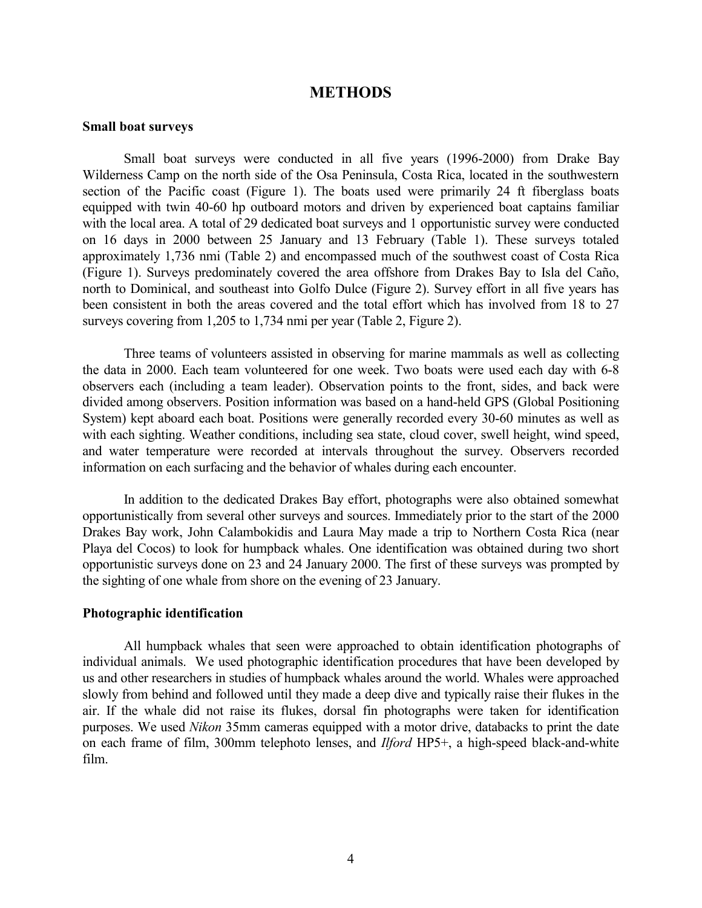### **METHODS**

#### <span id="page-3-0"></span>**Small boat surveys**

Small boat surveys were conducted in all five years (1996-2000) from Drake Bay Wilderness Camp on the north side of the Osa Peninsula, Costa Rica, located in the southwestern section of the Pacific coast (Figure 1). The boats used were primarily 24 ft fiberglass boats equipped with twin 40-60 hp outboard motors and driven by experienced boat captains familiar with the local area. A total of 29 dedicated boat surveys and 1 opportunistic survey were conducted on 16 days in 2000 between 25 January and 13 February (Table 1). These surveys totaled approximately 1,736 nmi (Table 2) and encompassed much of the southwest coast of Costa Rica (Figure 1). Surveys predominately covered the area offshore from Drakes Bay to Isla del Caño, north to Dominical, and southeast into Golfo Dulce (Figure 2). Survey effort in all five years has been consistent in both the areas covered and the total effort which has involved from 18 to 27 surveys covering from 1,205 to 1,734 nmi per year (Table 2, Figure 2).

Three teams of volunteers assisted in observing for marine mammals as well as collecting the data in 2000. Each team volunteered for one week. Two boats were used each day with 6-8 observers each (including a team leader). Observation points to the front, sides, and back were divided among observers. Position information was based on a hand-held GPS (Global Positioning System) kept aboard each boat. Positions were generally recorded every 30-60 minutes as well as with each sighting. Weather conditions, including sea state, cloud cover, swell height, wind speed, and water temperature were recorded at intervals throughout the survey. Observers recorded information on each surfacing and the behavior of whales during each encounter.

In addition to the dedicated Drakes Bay effort, photographs were also obtained somewhat opportunistically from several other surveys and sources. Immediately prior to the start of the 2000 Drakes Bay work, John Calambokidis and Laura May made a trip to Northern Costa Rica (near Playa del Cocos) to look for humpback whales. One identification was obtained during two short opportunistic surveys done on 23 and 24 January 2000. The first of these surveys was prompted by the sighting of one whale from shore on the evening of 23 January.

#### **Photographic identification**

All humpback whales that seen were approached to obtain identification photographs of individual animals. We used photographic identification procedures that have been developed by us and other researchers in studies of humpback whales around the world. Whales were approached slowly from behind and followed until they made a deep dive and typically raise their flukes in the air. If the whale did not raise its flukes, dorsal fin photographs were taken for identification purposes. We used *Nikon* 35mm cameras equipped with a motor drive, databacks to print the date on each frame of film, 300mm telephoto lenses, and *Ilford* HP5+, a high-speed black-and-white film.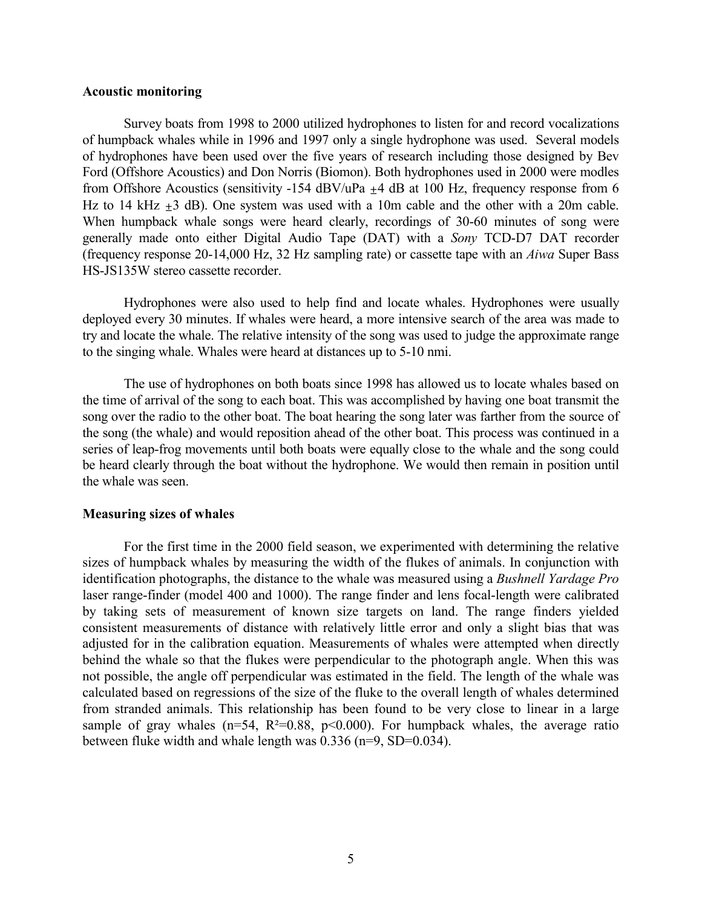#### <span id="page-4-0"></span>**Acoustic monitoring**

Survey boats from 1998 to 2000 utilized hydrophones to listen for and record vocalizations of humpback whales while in 1996 and 1997 only a single hydrophone was used. Several models of hydrophones have been used over the five years of research including those designed by Bev Ford (Offshore Acoustics) and Don Norris (Biomon). Both hydrophones used in 2000 were modles from Offshore Acoustics (sensitivity -154  $\text{dBV}/\text{uPa}$   $\pm$ 4 dB at 100 Hz, frequency response from 6 Hz to 14 kHz  $\pm 3$  dB). One system was used with a 10m cable and the other with a 20m cable. When humpback whale songs were heard clearly, recordings of 30-60 minutes of song were generally made onto either Digital Audio Tape (DAT) with a *Sony* TCD-D7 DAT recorder (frequency response 20-14,000 Hz, 32 Hz sampling rate) or cassette tape with an *Aiwa* Super Bass HS-JS135W stereo cassette recorder.

Hydrophones were also used to help find and locate whales. Hydrophones were usually deployed every 30 minutes. If whales were heard, a more intensive search of the area was made to try and locate the whale. The relative intensity of the song was used to judge the approximate range to the singing whale. Whales were heard at distances up to 5-10 nmi.

The use of hydrophones on both boats since 1998 has allowed us to locate whales based on the time of arrival of the song to each boat. This was accomplished by having one boat transmit the song over the radio to the other boat. The boat hearing the song later was farther from the source of the song (the whale) and would reposition ahead of the other boat. This process was continued in a series of leap-frog movements until both boats were equally close to the whale and the song could be heard clearly through the boat without the hydrophone. We would then remain in position until the whale was seen.

#### **Measuring sizes of whales**

For the first time in the 2000 field season, we experimented with determining the relative sizes of humpback whales by measuring the width of the flukes of animals. In conjunction with identification photographs, the distance to the whale was measured using a *Bushnell Yardage Pro* laser range-finder (model 400 and 1000). The range finder and lens focal-length were calibrated by taking sets of measurement of known size targets on land. The range finders yielded consistent measurements of distance with relatively little error and only a slight bias that was adjusted for in the calibration equation. Measurements of whales were attempted when directly behind the whale so that the flukes were perpendicular to the photograph angle. When this was not possible, the angle off perpendicular was estimated in the field. The length of the whale was calculated based on regressions of the size of the fluke to the overall length of whales determined from stranded animals. This relationship has been found to be very close to linear in a large sample of gray whales ( $n=54$ ,  $R^2=0.88$ ,  $p<0.000$ ). For humpback whales, the average ratio between fluke width and whale length was 0.336 (n=9, SD=0.034).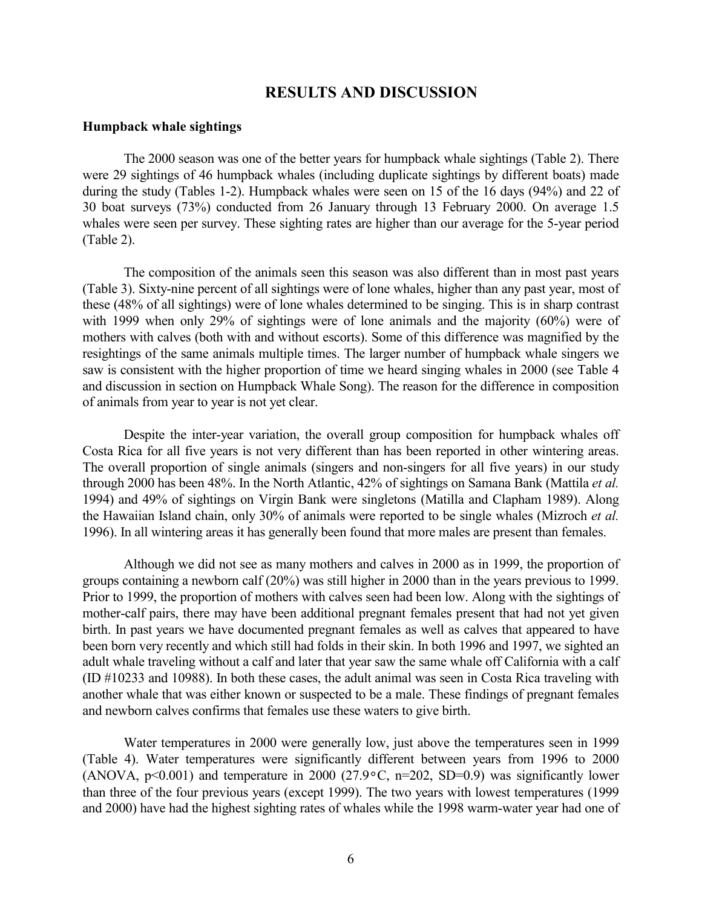### **RESULTS AND DISCUSSION**

#### <span id="page-5-0"></span>**Humpback whale sightings**

The 2000 season was one of the better years for humpback whale sightings (Table 2). There were 29 sightings of 46 humpback whales (including duplicate sightings by different boats) made during the study (Tables 1-2). Humpback whales were seen on 15 of the 16 days (94%) and 22 of 30 boat surveys (73%) conducted from 26 January through 13 February 2000. On average 1.5 whales were seen per survey. These sighting rates are higher than our average for the 5-year period (Table 2).

The composition of the animals seen this season was also different than in most past years (Table 3). Sixty-nine percent of all sightings were of lone whales, higher than any past year, most of these (48% of all sightings) were of lone whales determined to be singing. This is in sharp contrast with 1999 when only 29% of sightings were of lone animals and the majority (60%) were of mothers with calves (both with and without escorts). Some of this difference was magnified by the resightings of the same animals multiple times. The larger number of humpback whale singers we saw is consistent with the higher proportion of time we heard singing whales in 2000 (see Table 4 and discussion in section on Humpback Whale Song). The reason for the difference in composition of animals from year to year is not yet clear.

Despite the inter-year variation, the overall group composition for humpback whales off Costa Rica for all five years is not very different than has been reported in other wintering areas. The overall proportion of single animals (singers and non-singers for all five years) in our study through 2000 has been 48%. In the North Atlantic, 42% of sightings on Samana Bank (Mattila *et al.* 1994) and 49% of sightings on Virgin Bank were singletons (Matilla and Clapham 1989). Along the Hawaiian Island chain, only 30% of animals were reported to be single whales (Mizroch *et al.* 1996). In all wintering areas it has generally been found that more males are present than females.

Although we did not see as many mothers and calves in 2000 as in 1999, the proportion of groups containing a newborn calf (20%) was still higher in 2000 than in the years previous to 1999. Prior to 1999, the proportion of mothers with calves seen had been low. Along with the sightings of mother-calf pairs, there may have been additional pregnant females present that had not yet given birth. In past years we have documented pregnant females as well as calves that appeared to have been born very recently and which still had folds in their skin. In both 1996 and 1997, we sighted an adult whale traveling without a calf and later that year saw the same whale off California with a calf (ID #10233 and 10988). In both these cases, the adult animal was seen in Costa Rica traveling with another whale that was either known or suspected to be a male. These findings of pregnant females and newborn calves confirms that females use these waters to give birth.

Water temperatures in 2000 were generally low, just above the temperatures seen in 1999 (Table 4). Water temperatures were significantly different between years from 1996 to 2000 (ANOVA,  $p<0.001$ ) and temperature in 2000 (27.9 $\degree$ C, n=202, SD=0.9) was significantly lower than three of the four previous years (except 1999). The two years with lowest temperatures (1999 and 2000) have had the highest sighting rates of whales while the 1998 warm-water year had one of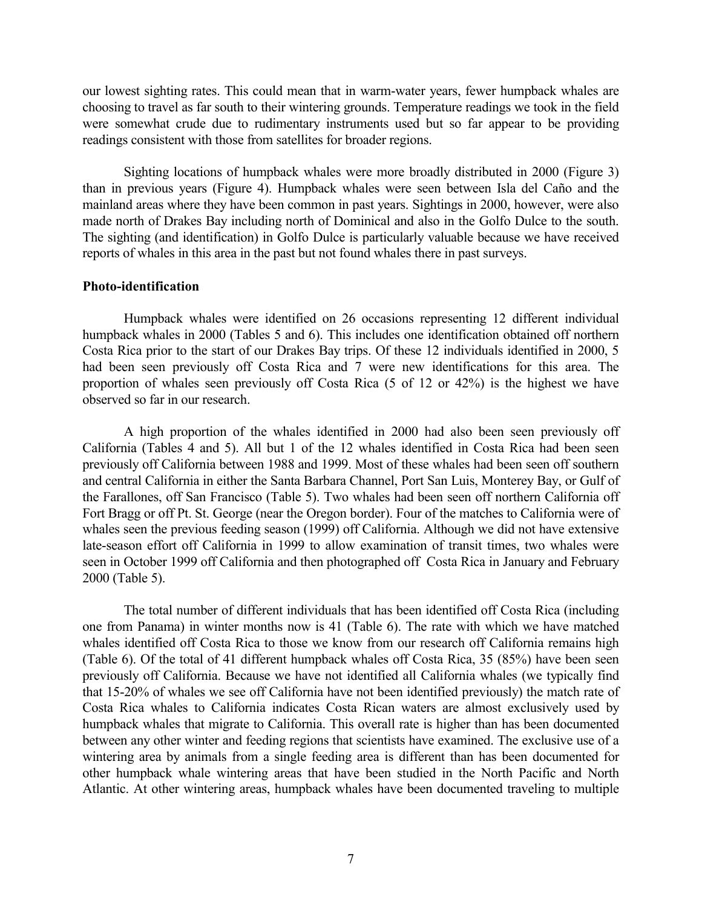<span id="page-6-0"></span>our lowest sighting rates. This could mean that in warm-water years, fewer humpback whales are choosing to travel as far south to their wintering grounds. Temperature readings we took in the field were somewhat crude due to rudimentary instruments used but so far appear to be providing readings consistent with those from satellites for broader regions.

Sighting locations of humpback whales were more broadly distributed in 2000 (Figure 3) than in previous years (Figure 4). Humpback whales were seen between Isla del Caño and the mainland areas where they have been common in past years. Sightings in 2000, however, were also made north of Drakes Bay including north of Dominical and also in the Golfo Dulce to the south. The sighting (and identification) in Golfo Dulce is particularly valuable because we have received reports of whales in this area in the past but not found whales there in past surveys.

#### **Photo-identification**

Humpback whales were identified on 26 occasions representing 12 different individual humpback whales in 2000 (Tables 5 and 6). This includes one identification obtained off northern Costa Rica prior to the start of our Drakes Bay trips. Of these 12 individuals identified in 2000, 5 had been seen previously off Costa Rica and 7 were new identifications for this area. The proportion of whales seen previously off Costa Rica (5 of 12 or 42%) is the highest we have observed so far in our research.

A high proportion of the whales identified in 2000 had also been seen previously off California (Tables 4 and 5). All but 1 of the 12 whales identified in Costa Rica had been seen previously off California between 1988 and 1999. Most of these whales had been seen off southern and central California in either the Santa Barbara Channel, Port San Luis, Monterey Bay, or Gulf of the Farallones, off San Francisco (Table 5). Two whales had been seen off northern California off Fort Bragg or off Pt. St. George (near the Oregon border). Four of the matches to California were of whales seen the previous feeding season (1999) off California. Although we did not have extensive late-season effort off California in 1999 to allow examination of transit times, two whales were seen in October 1999 off California and then photographed off Costa Rica in January and February 2000 (Table 5).

The total number of different individuals that has been identified off Costa Rica (including one from Panama) in winter months now is 41 (Table 6). The rate with which we have matched whales identified off Costa Rica to those we know from our research off California remains high (Table 6). Of the total of 41 different humpback whales off Costa Rica, 35 (85%) have been seen previously off California. Because we have not identified all California whales (we typically find that 15-20% of whales we see off California have not been identified previously) the match rate of Costa Rica whales to California indicates Costa Rican waters are almost exclusively used by humpback whales that migrate to California. This overall rate is higher than has been documented between any other winter and feeding regions that scientists have examined. The exclusive use of a wintering area by animals from a single feeding area is different than has been documented for other humpback whale wintering areas that have been studied in the North Pacific and North Atlantic. At other wintering areas, humpback whales have been documented traveling to multiple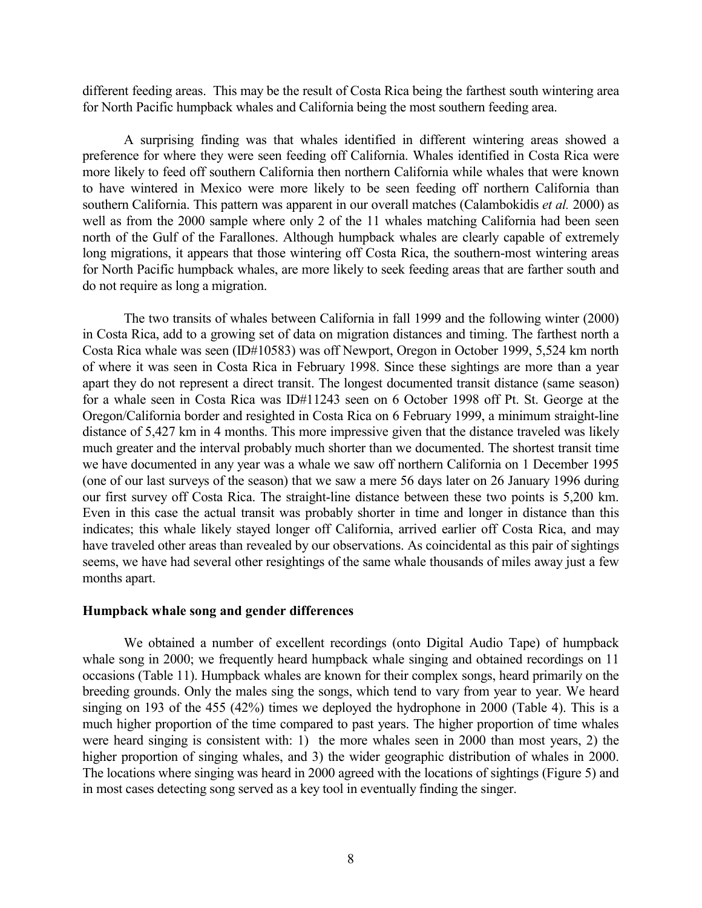<span id="page-7-0"></span>different feeding areas. This may be the result of Costa Rica being the farthest south wintering area for North Pacific humpback whales and California being the most southern feeding area.

A surprising finding was that whales identified in different wintering areas showed a preference for where they were seen feeding off California. Whales identified in Costa Rica were more likely to feed off southern California then northern California while whales that were known to have wintered in Mexico were more likely to be seen feeding off northern California than southern California. This pattern was apparent in our overall matches (Calambokidis *et al.* 2000) as well as from the 2000 sample where only 2 of the 11 whales matching California had been seen north of the Gulf of the Farallones. Although humpback whales are clearly capable of extremely long migrations, it appears that those wintering off Costa Rica, the southern-most wintering areas for North Pacific humpback whales, are more likely to seek feeding areas that are farther south and do not require as long a migration.

The two transits of whales between California in fall 1999 and the following winter (2000) in Costa Rica, add to a growing set of data on migration distances and timing. The farthest north a Costa Rica whale was seen (ID#10583) was off Newport, Oregon in October 1999, 5,524 km north of where it was seen in Costa Rica in February 1998. Since these sightings are more than a year apart they do not represent a direct transit. The longest documented transit distance (same season) for a whale seen in Costa Rica was ID#11243 seen on 6 October 1998 off Pt. St. George at the Oregon/California border and resighted in Costa Rica on 6 February 1999, a minimum straight-line distance of 5,427 km in 4 months. This more impressive given that the distance traveled was likely much greater and the interval probably much shorter than we documented. The shortest transit time we have documented in any year was a whale we saw off northern California on 1 December 1995 (one of our last surveys of the season) that we saw a mere 56 days later on 26 January 1996 during our first survey off Costa Rica. The straight-line distance between these two points is 5,200 km. Even in this case the actual transit was probably shorter in time and longer in distance than this indicates; this whale likely stayed longer off California, arrived earlier off Costa Rica, and may have traveled other areas than revealed by our observations. As coincidental as this pair of sightings seems, we have had several other resightings of the same whale thousands of miles away just a few months apart.

#### **Humpback whale song and gender differences**

We obtained a number of excellent recordings (onto Digital Audio Tape) of humpback whale song in 2000; we frequently heard humpback whale singing and obtained recordings on 11 occasions (Table 11). Humpback whales are known for their complex songs, heard primarily on the breeding grounds. Only the males sing the songs, which tend to vary from year to year. We heard singing on 193 of the 455 (42%) times we deployed the hydrophone in 2000 (Table 4). This is a much higher proportion of the time compared to past years. The higher proportion of time whales were heard singing is consistent with: 1) the more whales seen in 2000 than most years, 2) the higher proportion of singing whales, and 3) the wider geographic distribution of whales in 2000. The locations where singing was heard in 2000 agreed with the locations of sightings (Figure 5) and in most cases detecting song served as a key tool in eventually finding the singer.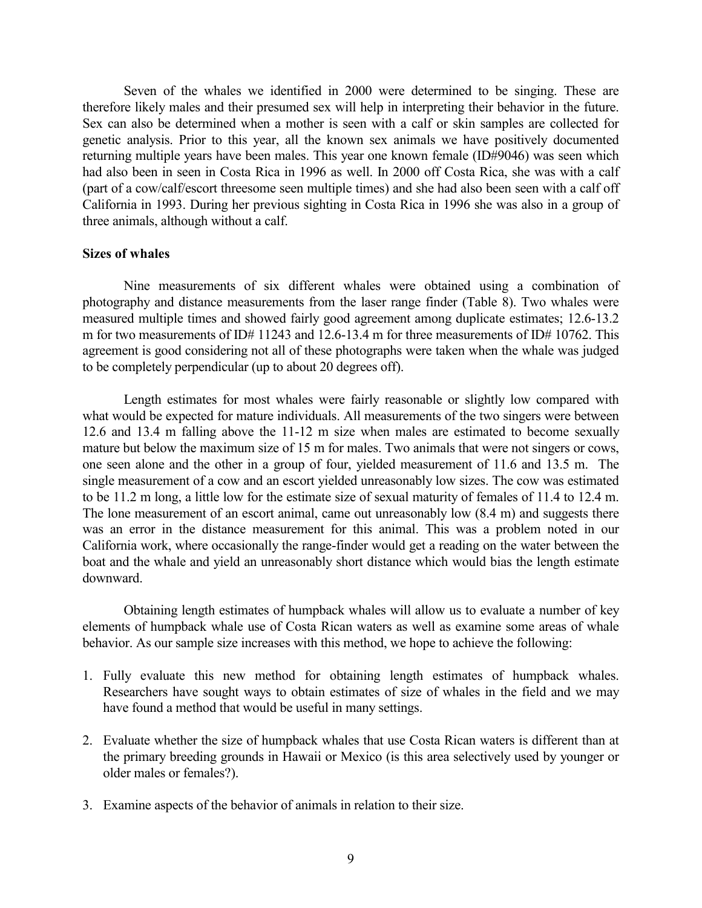<span id="page-8-0"></span>Seven of the whales we identified in 2000 were determined to be singing. These are therefore likely males and their presumed sex will help in interpreting their behavior in the future. Sex can also be determined when a mother is seen with a calf or skin samples are collected for genetic analysis. Prior to this year, all the known sex animals we have positively documented returning multiple years have been males. This year one known female (ID#9046) was seen which had also been in seen in Costa Rica in 1996 as well. In 2000 off Costa Rica, she was with a calf (part of a cow/calf/escort threesome seen multiple times) and she had also been seen with a calf off California in 1993. During her previous sighting in Costa Rica in 1996 she was also in a group of three animals, although without a calf.

#### **Sizes of whales**

Nine measurements of six different whales were obtained using a combination of photography and distance measurements from the laser range finder (Table 8). Two whales were measured multiple times and showed fairly good agreement among duplicate estimates; 12.6-13.2 m for two measurements of ID# 11243 and 12.6-13.4 m for three measurements of ID# 10762. This agreement is good considering not all of these photographs were taken when the whale was judged to be completely perpendicular (up to about 20 degrees off).

Length estimates for most whales were fairly reasonable or slightly low compared with what would be expected for mature individuals. All measurements of the two singers were between 12.6 and 13.4 m falling above the 11-12 m size when males are estimated to become sexually mature but below the maximum size of 15 m for males. Two animals that were not singers or cows, one seen alone and the other in a group of four, yielded measurement of 11.6 and 13.5 m. The single measurement of a cow and an escort yielded unreasonably low sizes. The cow was estimated to be 11.2 m long, a little low for the estimate size of sexual maturity of females of 11.4 to 12.4 m. The lone measurement of an escort animal, came out unreasonably low (8.4 m) and suggests there was an error in the distance measurement for this animal. This was a problem noted in our California work, where occasionally the range-finder would get a reading on the water between the boat and the whale and yield an unreasonably short distance which would bias the length estimate downward.

Obtaining length estimates of humpback whales will allow us to evaluate a number of key elements of humpback whale use of Costa Rican waters as well as examine some areas of whale behavior. As our sample size increases with this method, we hope to achieve the following:

- 1. Fully evaluate this new method for obtaining length estimates of humpback whales. Researchers have sought ways to obtain estimates of size of whales in the field and we may have found a method that would be useful in many settings.
- 2. Evaluate whether the size of humpback whales that use Costa Rican waters is different than at the primary breeding grounds in Hawaii or Mexico (is this area selectively used by younger or older males or females?).
- 3. Examine aspects of the behavior of animals in relation to their size.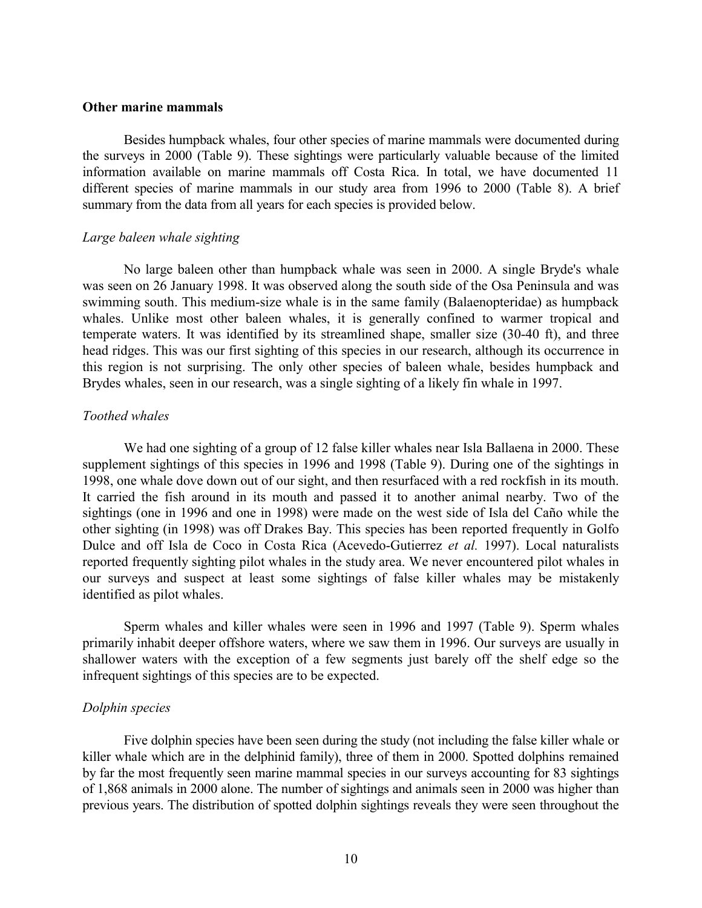#### <span id="page-9-0"></span>**Other marine mammals**

Besides humpback whales, four other species of marine mammals were documented during the surveys in 2000 (Table 9). These sightings were particularly valuable because of the limited information available on marine mammals off Costa Rica. In total, we have documented 11 different species of marine mammals in our study area from 1996 to 2000 (Table 8). A brief summary from the data from all years for each species is provided below.

#### *Large baleen whale sighting*

No large baleen other than humpback whale was seen in 2000. A single Bryde's whale was seen on 26 January 1998. It was observed along the south side of the Osa Peninsula and was swimming south. This medium-size whale is in the same family (Balaenopteridae) as humpback whales. Unlike most other baleen whales, it is generally confined to warmer tropical and temperate waters. It was identified by its streamlined shape, smaller size (30-40 ft), and three head ridges. This was our first sighting of this species in our research, although its occurrence in this region is not surprising. The only other species of baleen whale, besides humpback and Brydes whales, seen in our research, was a single sighting of a likely fin whale in 1997.

### *Toothed whales*

We had one sighting of a group of 12 false killer whales near Isla Ballaena in 2000. These supplement sightings of this species in 1996 and 1998 (Table 9). During one of the sightings in 1998, one whale dove down out of our sight, and then resurfaced with a red rockfish in its mouth. It carried the fish around in its mouth and passed it to another animal nearby. Two of the sightings (one in 1996 and one in 1998) were made on the west side of Isla del Caño while the other sighting (in 1998) was off Drakes Bay. This species has been reported frequently in Golfo Dulce and off Isla de Coco in Costa Rica (Acevedo-Gutierrez *et al.* 1997). Local naturalists reported frequently sighting pilot whales in the study area. We never encountered pilot whales in our surveys and suspect at least some sightings of false killer whales may be mistakenly identified as pilot whales.

Sperm whales and killer whales were seen in 1996 and 1997 (Table 9). Sperm whales primarily inhabit deeper offshore waters, where we saw them in 1996. Our surveys are usually in shallower waters with the exception of a few segments just barely off the shelf edge so the infrequent sightings of this species are to be expected.

#### *Dolphin species*

Five dolphin species have been seen during the study (not including the false killer whale or killer whale which are in the delphinid family), three of them in 2000. Spotted dolphins remained by far the most frequently seen marine mammal species in our surveys accounting for 83 sightings of 1,868 animals in 2000 alone. The number of sightings and animals seen in 2000 was higher than previous years. The distribution of spotted dolphin sightings reveals they were seen throughout the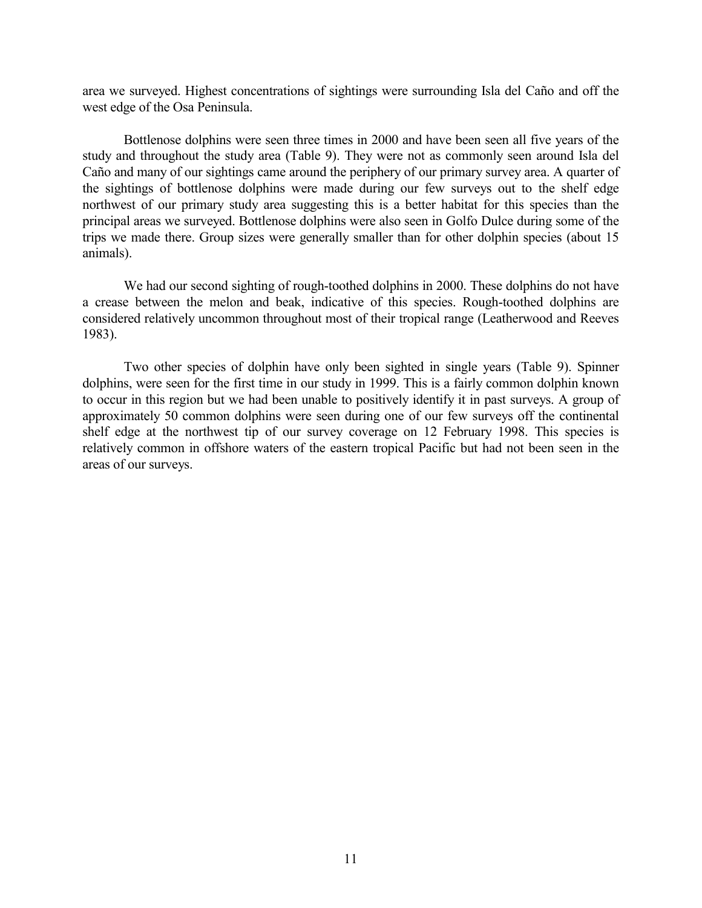area we surveyed. Highest concentrations of sightings were surrounding Isla del Caño and off the west edge of the Osa Peninsula.

Bottlenose dolphins were seen three times in 2000 and have been seen all five years of the study and throughout the study area (Table 9). They were not as commonly seen around Isla del Caño and many of our sightings came around the periphery of our primary survey area. A quarter of the sightings of bottlenose dolphins were made during our few surveys out to the shelf edge northwest of our primary study area suggesting this is a better habitat for this species than the principal areas we surveyed. Bottlenose dolphins were also seen in Golfo Dulce during some of the trips we made there. Group sizes were generally smaller than for other dolphin species (about 15 animals).

We had our second sighting of rough-toothed dolphins in 2000. These dolphins do not have a crease between the melon and beak, indicative of this species. Rough-toothed dolphins are considered relatively uncommon throughout most of their tropical range (Leatherwood and Reeves 1983).

Two other species of dolphin have only been sighted in single years (Table 9). Spinner dolphins, were seen for the first time in our study in 1999. This is a fairly common dolphin known to occur in this region but we had been unable to positively identify it in past surveys. A group of approximately 50 common dolphins were seen during one of our few surveys off the continental shelf edge at the northwest tip of our survey coverage on 12 February 1998. This species is relatively common in offshore waters of the eastern tropical Pacific but had not been seen in the areas of our surveys.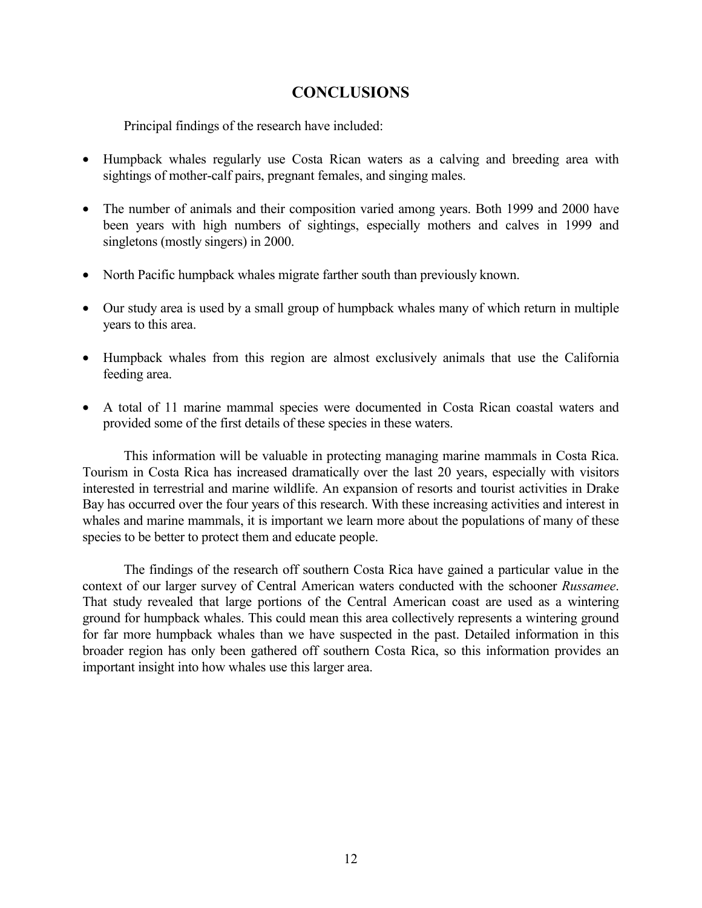## **CONCLUSIONS**

<span id="page-11-0"></span>Principal findings of the research have included:

- Humpback whales regularly use Costa Rican waters as a calving and breeding area with sightings of mother-calf pairs, pregnant females, and singing males.
- The number of animals and their composition varied among years. Both 1999 and 2000 have been years with high numbers of sightings, especially mothers and calves in 1999 and singletons (mostly singers) in 2000.
- North Pacific humpback whales migrate farther south than previously known.
- Our study area is used by a small group of humpback whales many of which return in multiple years to this area.
- Humpback whales from this region are almost exclusively animals that use the California feeding area.
- A total of 11 marine mammal species were documented in Costa Rican coastal waters and provided some of the first details of these species in these waters.

This information will be valuable in protecting managing marine mammals in Costa Rica. Tourism in Costa Rica has increased dramatically over the last 20 years, especially with visitors interested in terrestrial and marine wildlife. An expansion of resorts and tourist activities in Drake Bay has occurred over the four years of this research. With these increasing activities and interest in whales and marine mammals, it is important we learn more about the populations of many of these species to be better to protect them and educate people.

The findings of the research off southern Costa Rica have gained a particular value in the context of our larger survey of Central American waters conducted with the schooner *Russamee*. That study revealed that large portions of the Central American coast are used as a wintering ground for humpback whales. This could mean this area collectively represents a wintering ground for far more humpback whales than we have suspected in the past. Detailed information in this broader region has only been gathered off southern Costa Rica, so this information provides an important insight into how whales use this larger area.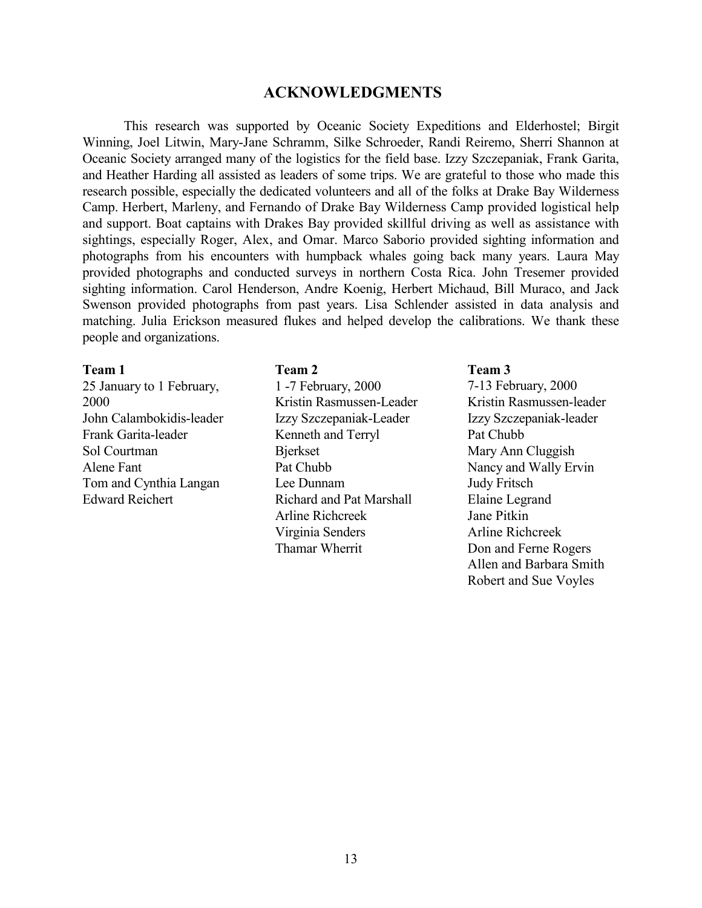### **ACKNOWLEDGMENTS**

<span id="page-12-0"></span>This research was supported by Oceanic Society Expeditions and Elderhostel; Birgit Winning, Joel Litwin, Mary-Jane Schramm, Silke Schroeder, Randi Reiremo, Sherri Shannon at Oceanic Society arranged many of the logistics for the field base. Izzy Szczepaniak, Frank Garita, and Heather Harding all assisted as leaders of some trips. We are grateful to those who made this research possible, especially the dedicated volunteers and all of the folks at Drake Bay Wilderness Camp. Herbert, Marleny, and Fernando of Drake Bay Wilderness Camp provided logistical help and support. Boat captains with Drakes Bay provided skillful driving as well as assistance with sightings, especially Roger, Alex, and Omar. Marco Saborio provided sighting information and photographs from his encounters with humpback whales going back many years. Laura May provided photographs and conducted surveys in northern Costa Rica. John Tresemer provided sighting information. Carol Henderson, Andre Koenig, Herbert Michaud, Bill Muraco, and Jack Swenson provided photographs from past years. Lisa Schlender assisted in data analysis and matching. Julia Erickson measured flukes and helped develop the calibrations. We thank these people and organizations.

#### **Team 1**

25 January to 1 February, 2000 John Calambokidis-leader Frank Garita-leader Sol Courtman Alene Fant Tom and Cynthia Langan Edward Reichert

#### **Team 2**

1 -7 February, 2000 Kristin Rasmussen-Leader Izzy Szczepaniak-Leader Kenneth and Terryl Bjerkset Pat Chubb Lee Dunnam Richard and Pat Marshall Arline Richcreek Virginia Senders Thamar Wherrit

#### **Team 3**

7-13 February, 2000 Kristin Rasmussen-leader Izzy Szczepaniak-leader Pat Chubb Mary Ann Cluggish Nancy and Wally Ervin Judy Fritsch Elaine Legrand Jane Pitkin Arline Richcreek Don and Ferne Rogers Allen and Barbara Smith Robert and Sue Voyles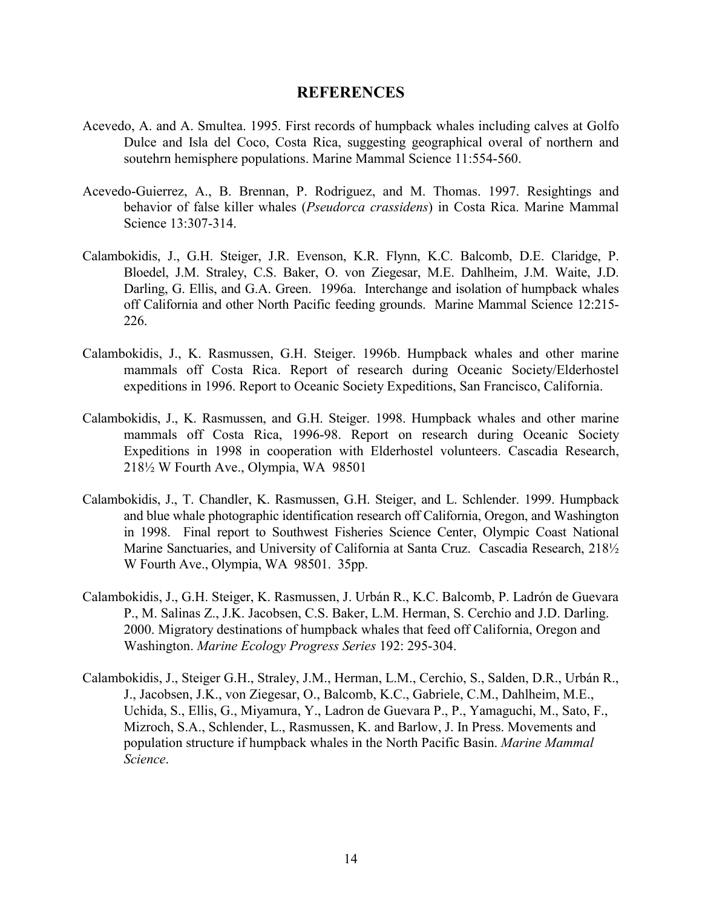### **REFERENCES**

- <span id="page-13-0"></span>Acevedo, A. and A. Smultea. 1995. First records of humpback whales including calves at Golfo Dulce and Isla del Coco, Costa Rica, suggesting geographical overal of northern and soutehrn hemisphere populations. Marine Mammal Science 11:554-560.
- Acevedo-Guierrez, A., B. Brennan, P. Rodriguez, and M. Thomas. 1997. Resightings and behavior of false killer whales (*Pseudorca crassidens*) in Costa Rica. Marine Mammal Science 13:307-314.
- Calambokidis, J., G.H. Steiger, J.R. Evenson, K.R. Flynn, K.C. Balcomb, D.E. Claridge, P. Bloedel, J.M. Straley, C.S. Baker, O. von Ziegesar, M.E. Dahlheim, J.M. Waite, J.D. Darling, G. Ellis, and G.A. Green. 1996a. Interchange and isolation of humpback whales off California and other North Pacific feeding grounds. Marine Mammal Science 12:215- 226.
- Calambokidis, J., K. Rasmussen, G.H. Steiger. 1996b. Humpback whales and other marine mammals off Costa Rica. Report of research during Oceanic Society/Elderhostel expeditions in 1996. Report to Oceanic Society Expeditions, San Francisco, California.
- Calambokidis, J., K. Rasmussen, and G.H. Steiger. 1998. Humpback whales and other marine mammals off Costa Rica, 1996-98. Report on research during Oceanic Society Expeditions in 1998 in cooperation with Elderhostel volunteers. Cascadia Research, 218½ W Fourth Ave., Olympia, WA 98501
- Calambokidis, J., T. Chandler, K. Rasmussen, G.H. Steiger, and L. Schlender. 1999. Humpback and blue whale photographic identification research off California, Oregon, and Washington in 1998. Final report to Southwest Fisheries Science Center, Olympic Coast National Marine Sanctuaries, and University of California at Santa Cruz. Cascadia Research, 2181/2 W Fourth Ave., Olympia, WA 98501. 35pp.
- Calambokidis, J., G.H. Steiger, K. Rasmussen, J. Urbán R., K.C. Balcomb, P. Ladrón de Guevara P., M. Salinas Z., J.K. Jacobsen, C.S. Baker, L.M. Herman, S. Cerchio and J.D. Darling. 2000. Migratory destinations of humpback whales that feed off California, Oregon and Washington. *Marine Ecology Progress Series* 192: 295-304.
- Calambokidis, J., Steiger G.H., Straley, J.M., Herman, L.M., Cerchio, S., Salden, D.R., Urbán R., J., Jacobsen, J.K., von Ziegesar, O., Balcomb, K.C., Gabriele, C.M., Dahlheim, M.E., Uchida, S., Ellis, G., Miyamura, Y., Ladron de Guevara P., P., Yamaguchi, M., Sato, F., Mizroch, S.A., Schlender, L., Rasmussen, K. and Barlow, J. In Press. Movements and population structure if humpback whales in the North Pacific Basin. *Marine Mammal Science*.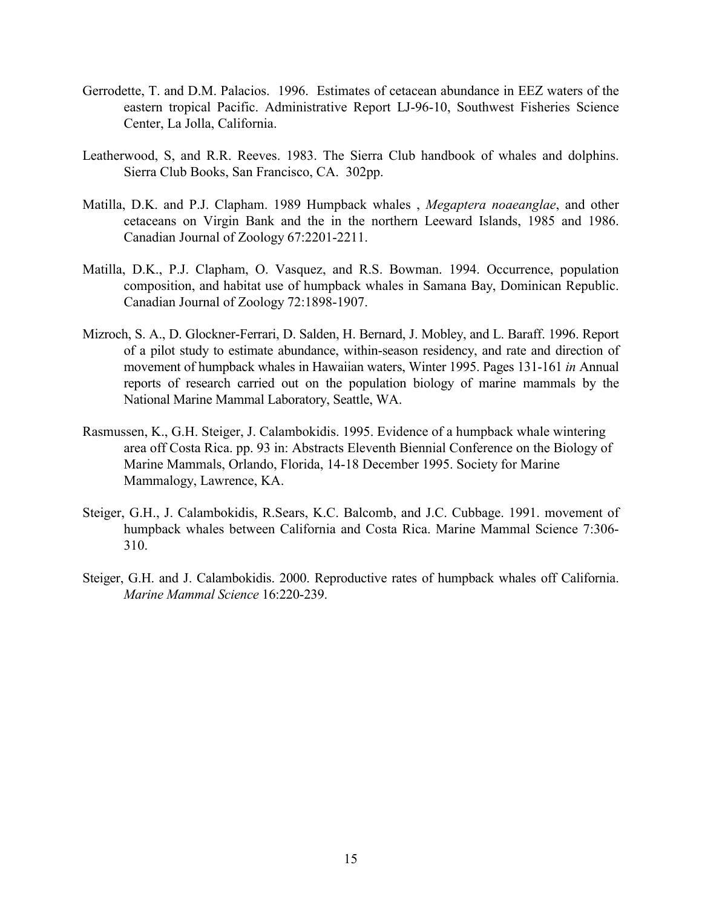- Gerrodette, T. and D.M. Palacios. 1996. Estimates of cetacean abundance in EEZ waters of the eastern tropical Pacific. Administrative Report LJ-96-10, Southwest Fisheries Science Center, La Jolla, California.
- Leatherwood, S, and R.R. Reeves. 1983. The Sierra Club handbook of whales and dolphins. Sierra Club Books, San Francisco, CA. 302pp.
- Matilla, D.K. and P.J. Clapham. 1989 Humpback whales , *Megaptera noaeanglae*, and other cetaceans on Virgin Bank and the in the northern Leeward Islands, 1985 and 1986. Canadian Journal of Zoology 67:2201-2211.
- Matilla, D.K., P.J. Clapham, O. Vasquez, and R.S. Bowman. 1994. Occurrence, population composition, and habitat use of humpback whales in Samana Bay, Dominican Republic. Canadian Journal of Zoology 72:1898-1907.
- Mizroch, S. A., D. Glockner-Ferrari, D. Salden, H. Bernard, J. Mobley, and L. Baraff. 1996. Report of a pilot study to estimate abundance, within-season residency, and rate and direction of movement of humpback whales in Hawaiian waters, Winter 1995. Pages 131-161 *in* Annual reports of research carried out on the population biology of marine mammals by the National Marine Mammal Laboratory, Seattle, WA.
- Rasmussen, K., G.H. Steiger, J. Calambokidis. 1995. Evidence of a humpback whale wintering area off Costa Rica. pp. 93 in: Abstracts Eleventh Biennial Conference on the Biology of Marine Mammals, Orlando, Florida, 14-18 December 1995. Society for Marine Mammalogy, Lawrence, KA.
- Steiger, G.H., J. Calambokidis, R.Sears, K.C. Balcomb, and J.C. Cubbage. 1991. movement of humpback whales between California and Costa Rica. Marine Mammal Science 7:306- 310.
- Steiger, G.H. and J. Calambokidis. 2000. Reproductive rates of humpback whales off California. *Marine Mammal Science* 16:220-239.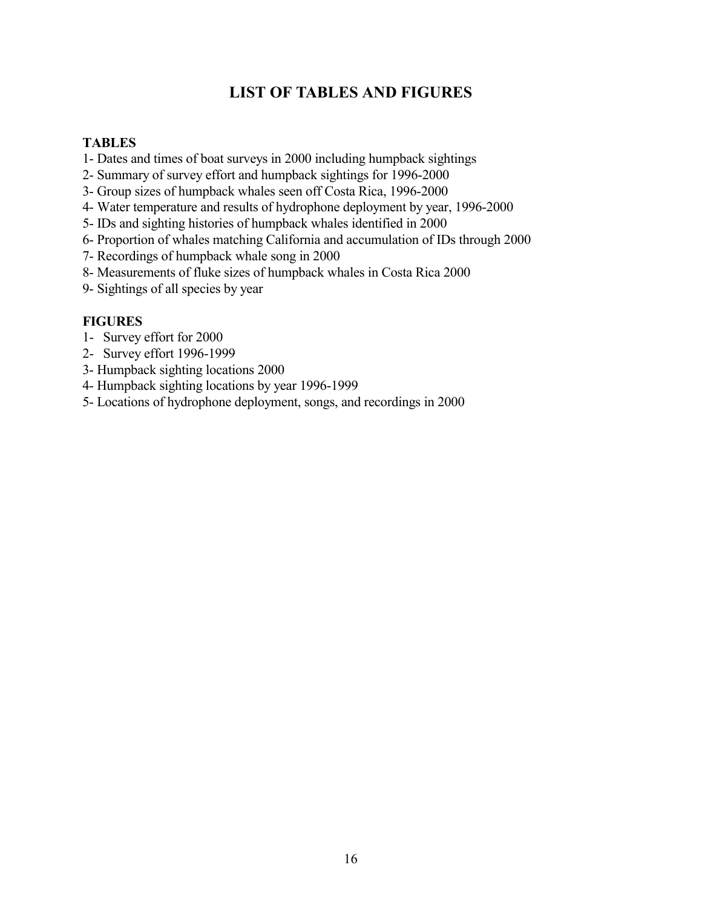# **LIST OF TABLES AND FIGURES**

### <span id="page-15-0"></span>**TABLES**

- 1- Dates and times of boat surveys in 2000 including humpback sightings
- 2- Summary of survey effort and humpback sightings for 1996-2000
- 3- Group sizes of humpback whales seen off Costa Rica, 1996-2000
- 4- Water temperature and results of hydrophone deployment by year, 1996-2000
- 5- IDs and sighting histories of humpback whales identified in 2000
- 6- Proportion of whales matching California and accumulation of IDs through 2000
- 7- Recordings of humpback whale song in 2000
- 8- Measurements of fluke sizes of humpback whales in Costa Rica 2000
- 9- Sightings of all species by year

### **FIGURES**

- 1- Survey effort for 2000
- 2- Survey effort 1996-1999
- 3- Humpback sighting locations 2000
- 4- Humpback sighting locations by year 1996-1999
- 5- Locations of hydrophone deployment, songs, and recordings in 2000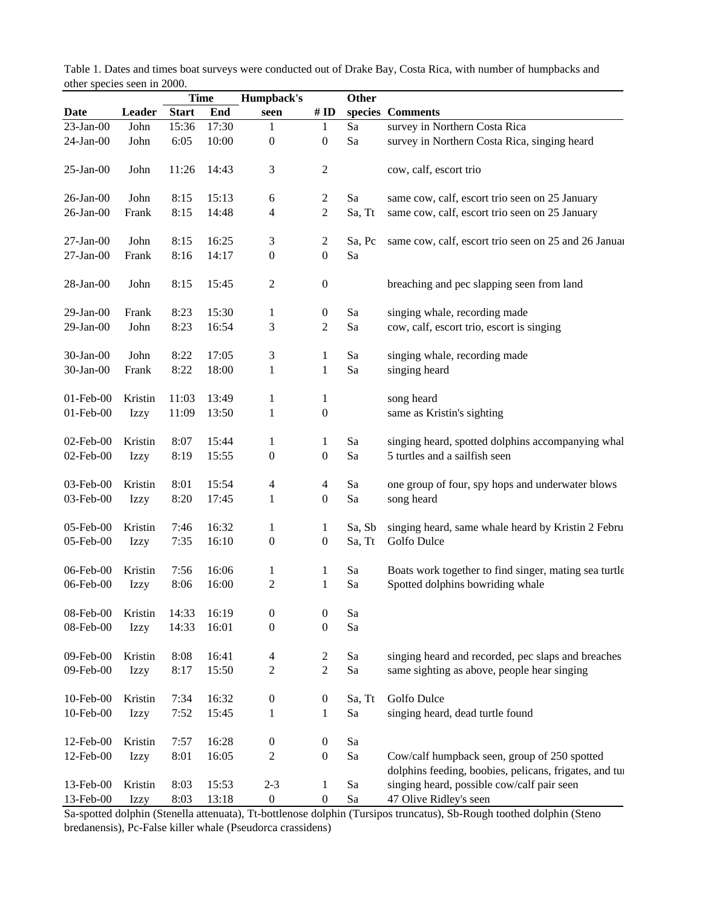|                 | .           |              | <b>Time</b> | Humpback's               |                         | Other            |                                                        |
|-----------------|-------------|--------------|-------------|--------------------------|-------------------------|------------------|--------------------------------------------------------|
| <b>Date</b>     | Leader      | <b>Start</b> | End         | seen                     | # $ID$                  |                  | species Comments                                       |
| $23$ -Jan-00    | John        | 15:36        | 17:30       | 1                        | 1                       | Sa               | survey in Northern Costa Rica                          |
| $24$ -Jan-00    | John        | 6:05         | 10:00       | $\boldsymbol{0}$         | $\boldsymbol{0}$        | Sa               | survey in Northern Costa Rica, singing heard           |
| $25$ -Jan-00    | John        | 11:26        | 14:43       | $\mathfrak{Z}$           | 2                       |                  | cow, calf, escort trio                                 |
| $26$ -Jan- $00$ | John        | 8:15         | 15:13       | 6                        | 2                       | Sa               | same cow, calf, escort trio seen on 25 January         |
| $26$ -Jan- $00$ | Frank       | 8:15         | 14:48       | $\overline{\mathcal{A}}$ | $\overline{c}$          | Sa, Tt           | same cow, calf, escort trio seen on 25 January         |
| $27$ -Jan-00    | John        | 8:15         | 16:25       | 3                        | $\overline{c}$          | Sa, Pc           | same cow, calf, escort trio seen on 25 and 26 Januar   |
| $27$ -Jan- $00$ | Frank       | 8:16         | 14:17       | $\boldsymbol{0}$         | $\boldsymbol{0}$        | Sa               |                                                        |
| $28$ -Jan- $00$ | John        | 8:15         | 15:45       | $\sqrt{2}$               | $\boldsymbol{0}$        |                  | breaching and pec slapping seen from land              |
| $29$ -Jan- $00$ | Frank       | 8:23         | 15:30       | $\mathbf{1}$             | $\boldsymbol{0}$        | Sa               | singing whale, recording made                          |
| $29$ -Jan- $00$ | John        | 8:23         | 16:54       | 3                        | $\overline{c}$          | Sa               | cow, calf, escort trio, escort is singing              |
| $30$ -Jan- $00$ | John        | 8:22         | 17:05       | $\mathfrak{Z}$           | $\mathbf{1}$            | Sa               | singing whale, recording made                          |
| $30$ -Jan- $00$ | Frank       | 8:22         | 18:00       | $\mathbf{1}$             | $\mathbf{1}$            | Sa               | singing heard                                          |
| $01$ -Feb- $00$ | Kristin     | 11:03        | 13:49       | $\mathbf{1}$             | $\mathbf{1}$            |                  | song heard                                             |
| 01-Feb-00       | <b>Izzy</b> | 11:09        | 13:50       | $\mathbf{1}$             | $\boldsymbol{0}$        |                  | same as Kristin's sighting                             |
| 02-Feb-00       | Kristin     | 8:07         | 15:44       | $\mathbf{1}$             | $\mathbf{1}$            | Sa               | singing heard, spotted dolphins accompanying whal      |
| 02-Feb-00       | <b>Izzy</b> | 8:19         | 15:55       | $\boldsymbol{0}$         | $\boldsymbol{0}$        | Sa               | 5 turtles and a sailfish seen                          |
| 03-Feb-00       | Kristin     | 8:01         | 15:54       | $\overline{4}$           | 4                       | Sa               | one group of four, spy hops and underwater blows       |
| 03-Feb-00       | <b>Izzy</b> | 8:20         | 17:45       | $\,1$                    | $\boldsymbol{0}$        | Sa               | song heard                                             |
| 05-Feb-00       | Kristin     | 7:46         | 16:32       | $\mathbf{1}$             | $\mathbf{1}$            | Sa, Sb           | singing heard, same whale heard by Kristin 2 Febru     |
| 05-Feb-00       | Izzy        | 7:35         | 16:10       | $\boldsymbol{0}$         | $\boldsymbol{0}$        | Sa, Tt           | Golfo Dulce                                            |
| 06-Feb-00       | Kristin     | 7:56         | 16:06       | $\mathbf{1}$             | $\mathbf{1}$            | Sa               | Boats work together to find singer, mating sea turtle  |
| 06-Feb-00       | Izzy        | 8:06         | 16:00       | $\mathfrak{2}$           | $\mathbf{1}$            | Sa               | Spotted dolphins bowriding whale                       |
| 08-Feb-00       | Kristin     | 14:33        | 16:19       | $\boldsymbol{0}$         | $\boldsymbol{0}$        | Sa               |                                                        |
| 08-Feb-00       | Izzy        | 14:33        | 16:01       | $\boldsymbol{0}$         | $\boldsymbol{0}$        | Sa               |                                                        |
| 09-Feb-00       | Kristin     | 8:08         | 16:41       | $\overline{4}$           | $\overline{\mathbf{c}}$ | Sa               | singing heard and recorded, pec slaps and breaches     |
| 09-Feb-00       | Izzy        | 8:17         | 15:50       | $\sqrt{2}$               | $\overline{c}$          | Sa               | same sighting as above, people hear singing            |
| 10-Feb-00       | Kristin     | 7:34         | 16:32       | $\boldsymbol{0}$         | $\boldsymbol{0}$        | Sa, Tt           | Golfo Dulce                                            |
| 10-Feb-00       | <b>Izzy</b> | 7:52         | 15:45       | $\mathbf{1}$             | $\mathbf{1}$            | Sa               | singing heard, dead turtle found                       |
| 12-Feb-00       | Kristin     | 7:57         | 16:28       | $\boldsymbol{0}$         | $\boldsymbol{0}$        | Sa               |                                                        |
| 12-Feb-00       | <b>Izzy</b> | 8:01         | 16:05       | $\sqrt{2}$               | $\boldsymbol{0}$        | Sa               | Cow/calf humpback seen, group of 250 spotted           |
|                 |             |              |             |                          |                         |                  | dolphins feeding, boobies, pelicans, frigates, and tui |
| 13-Feb-00       | Kristin     | 8:03         | 15:53       | $2 - 3$                  | $\mathbf{1}$            | Sa               | singing heard, possible cow/calf pair seen             |
| 13-Feb-00       | Izzy        | 8:03         | 13:18       | $\boldsymbol{0}$         | $\boldsymbol{0}$        | Sa<br>$\sqrt{2}$ | 47 Olive Ridley's seen                                 |

Table 1. Dates and times boat surveys were conducted out of Drake Bay, Costa Rica, with number of humpbacks and other species seen in 2000.

Sa-spotted dolphin (Stenella attenuata), Tt-bottlenose dolphin (Tursipos truncatus), Sb-Rough toothed dolphin (Steno bredanensis), Pc-False killer whale (Pseudorca crassidens)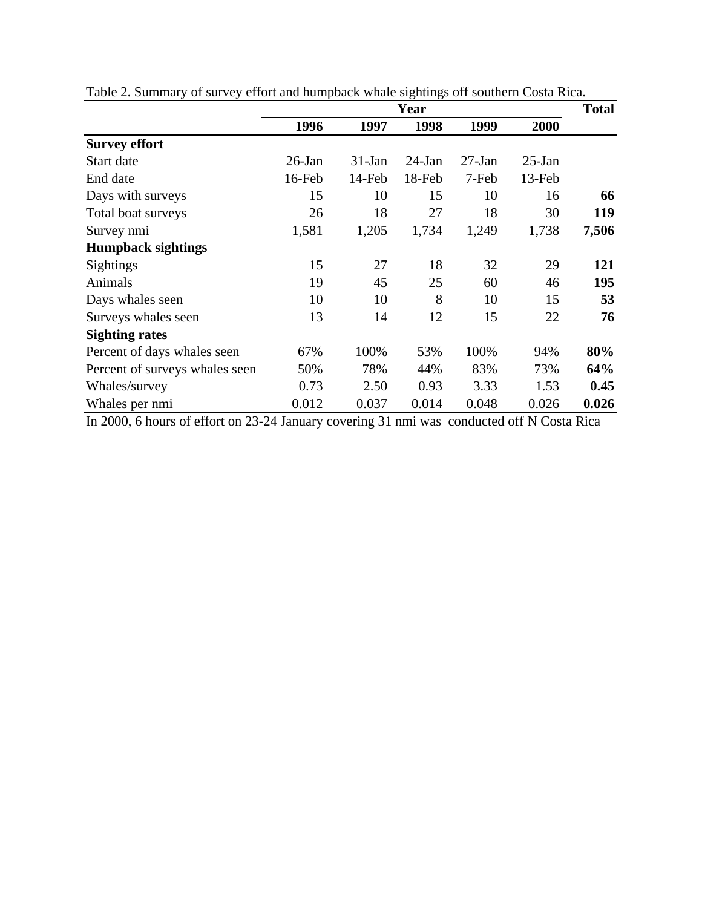|                                |           |          | Year      |          |           | <b>Total</b> |
|--------------------------------|-----------|----------|-----------|----------|-----------|--------------|
|                                | 1996      | 1997     | 1998      | 1999     | 2000      |              |
| <b>Survey effort</b>           |           |          |           |          |           |              |
| Start date                     | $26$ -Jan | $31-Jan$ | $24$ -Jan | $27-Ian$ | $25$ -Jan |              |
| End date                       | 16-Feb    | 14-Feb   | 18-Feb    | 7-Feb    | 13-Feb    |              |
| Days with surveys              | 15        | 10       | 15        | 10       | 16        | 66           |
| Total boat surveys             | 26        | 18       | 27        | 18       | 30        | 119          |
| Survey nmi                     | 1,581     | 1,205    | 1,734     | 1,249    | 1,738     | 7,506        |
| <b>Humpback sightings</b>      |           |          |           |          |           |              |
| Sightings                      | 15        | 27       | 18        | 32       | 29        | 121          |
| Animals                        | 19        | 45       | 25        | 60       | 46        | 195          |
| Days whales seen               | 10        | 10       | 8         | 10       | 15        | 53           |
| Surveys whales seen            | 13        | 14       | 12        | 15       | 22        | 76           |
| <b>Sighting rates</b>          |           |          |           |          |           |              |
| Percent of days whales seen    | 67%       | 100%     | 53%       | 100%     | 94%       | 80%          |
| Percent of surveys whales seen | 50%       | 78%      | 44%       | 83%      | 73%       | 64%          |
| Whales/survey                  | 0.73      | 2.50     | 0.93      | 3.33     | 1.53      | 0.45         |
| Whales per nmi                 | 0.012     | 0.037    | 0.014     | 0.048    | 0.026     | 0.026        |

Table 2. Summary of survey effort and humpback whale sightings off southern Costa Rica.

In 2000, 6 hours of effort on 23-24 January covering 31 nmi was conducted off N Costa Rica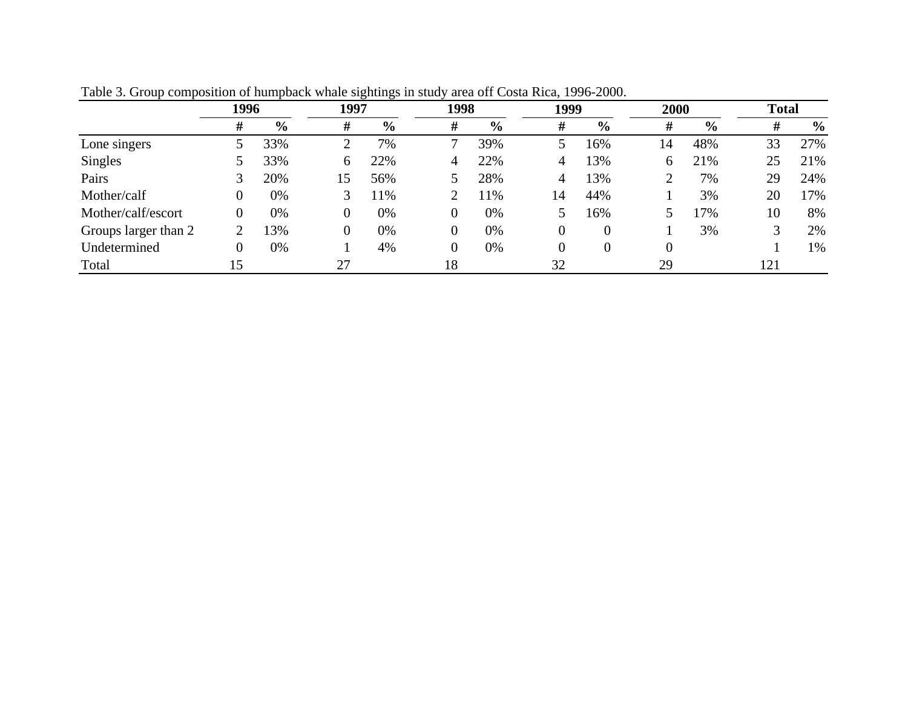|                      |   | 1996          |    | 1997          |    | 1998          |    | 1999           | 2000 |               | <b>Total</b> |               |
|----------------------|---|---------------|----|---------------|----|---------------|----|----------------|------|---------------|--------------|---------------|
|                      | # | $\frac{0}{0}$ | #  | $\frac{0}{0}$ | #  | $\frac{0}{0}$ | #  | $\frac{6}{9}$  | #    | $\frac{0}{0}$ | #            | $\frac{6}{9}$ |
| Lone singers         |   | 33%           |    | 7%            |    | 39%           |    | 16%            | 14   | 48%           | 33           | 27%           |
| <b>Singles</b>       |   | 33%           | 6  | 22%           | 4  | 22%           | 4  | 13%            | 6    | 21%           | 25           | 21%           |
| Pairs                |   | 20%           | 15 | 56%           |    | 28%           | 4  | 13%            |      | 7%            | 29           | 24%           |
| Mother/calf          | 0 | 0%            |    | 11%           |    | 1%            | 14 | 44%            |      | 3%            | 20           | 17%           |
| Mother/calf/escort   |   | 0%            |    | 0%            | 0  | 0%            |    | 16%            |      | 7%            | 10           | 8%            |
| Groups larger than 2 |   | 13%           |    | 0%            | 0  | 0%            | 0  | $\overline{0}$ |      | 3%            |              | 2%            |
| Undetermined         |   | 0%            |    | 4%            | 0  | 0%            | 0  | $\theta$       |      |               |              | 1%            |
| Total                |   |               | 27 |               | 18 |               | 32 |                | 29   |               | 121          |               |

Table 3. Group composition of humpback whale sightings in study area off Costa Rica, 1996-2000.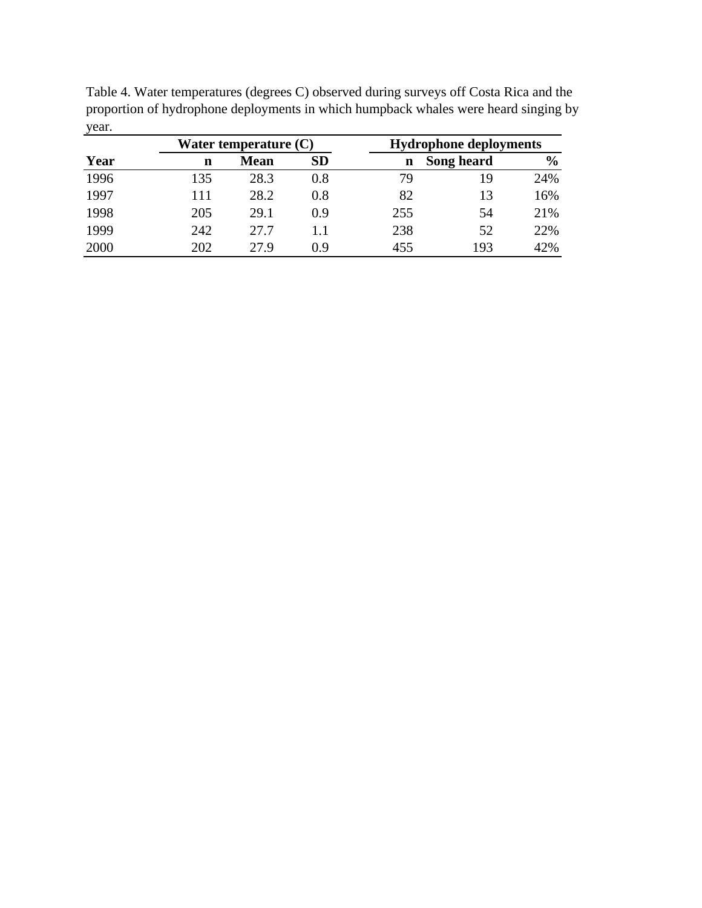| Table 4. Water temperatures (degrees C) observed during surveys off Costa Rica and the |                        |
|----------------------------------------------------------------------------------------|------------------------|
| proportion of hydrophone deployments in which humpback whales were heard singing by    |                        |
| year.                                                                                  |                        |
| Wotor tomporature $(\Gamma)$                                                           | Hydrophono deployments |

|      |     | Water temperature (C) |           | <b>Hydrophone deployments</b> |            |               |  |  |
|------|-----|-----------------------|-----------|-------------------------------|------------|---------------|--|--|
| Year | n   | <b>Mean</b>           | <b>SD</b> | n                             | Song heard | $\frac{6}{9}$ |  |  |
| 1996 | 135 | 28.3                  | 0.8       | 79                            | 19         | 24%           |  |  |
| 1997 | 111 | 28.2                  | 0.8       | 82                            | 13         | 16%           |  |  |
| 1998 | 205 | 29.1                  | 0.9       | 255                           | 54         | 21%           |  |  |
| 1999 | 242 | 27.7                  | 1.1       | 238                           | 52         | 22%           |  |  |
| 2000 | 202 | 27.9                  | 0.9       | 455                           | 193        | 42%           |  |  |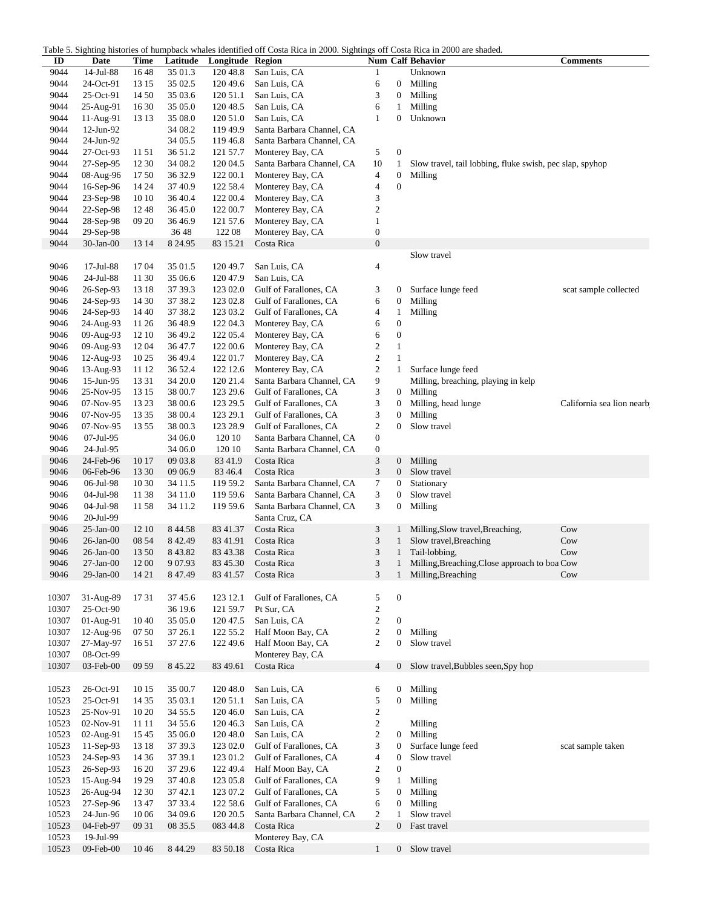Table 5. Sighting histories of humpback whales identified off Costa Rica in 2000. Sightings off Costa Rica in 2000 are shaded.

| ID    | Date            | Time  | Latitude  | Longitude Region | able 5. Digiting instances of humpback whates recharice off Costa Rica in 2000. Digitings off Costa Rica in 2000 are shaded. |                         |                  | <b>Num Calf Behavior</b>                                 | <b>Comments</b>           |
|-------|-----------------|-------|-----------|------------------|------------------------------------------------------------------------------------------------------------------------------|-------------------------|------------------|----------------------------------------------------------|---------------------------|
| 9044  | 14-Jul-88       | 1648  | 35 01.3   | 120 48.8         | San Luis, CA                                                                                                                 | $\mathbf{1}$            |                  | Unknown                                                  |                           |
| 9044  | 24-Oct-91       | 13 15 | 35 02.5   | 120 49.6         | San Luis, CA                                                                                                                 | 6                       | 0                | Milling                                                  |                           |
| 9044  | 25-Oct-91       | 14 50 | 35 03.6   | 120 51.1         | San Luis, CA                                                                                                                 | 3                       | 0                | Milling                                                  |                           |
| 9044  | 25-Aug-91       | 16 30 | 35 05.0   | 120 48.5         | San Luis, CA                                                                                                                 | 6                       | 1                | Milling                                                  |                           |
|       |                 |       |           |                  |                                                                                                                              |                         |                  |                                                          |                           |
| 9044  | 11-Aug-91       | 13 13 | 35 08.0   | 120 51.0         | San Luis, CA                                                                                                                 | 1                       | 0                | Unknown                                                  |                           |
| 9044  | $12$ -Jun-92    |       | 34 08.2   | 119 49.9         | Santa Barbara Channel, CA                                                                                                    |                         |                  |                                                          |                           |
| 9044  | 24-Jun-92       |       | 34 05.5   | 119 46.8         | Santa Barbara Channel, CA                                                                                                    |                         |                  |                                                          |                           |
| 9044  | 27-Oct-93       | 11 51 | 36 51.2   | 121 57.7         | Monterey Bay, CA                                                                                                             | 5                       | $\boldsymbol{0}$ |                                                          |                           |
| 9044  | 27-Sep-95       | 12 30 | 34 08.2   | 120 04.5         | Santa Barbara Channel, CA                                                                                                    | 10                      | $\mathbf{1}$     | Slow travel, tail lobbing, fluke swish, pec slap, spyhop |                           |
| 9044  | 08-Aug-96       | 1750  | 36 32.9   | 122 00.1         | Monterey Bay, CA                                                                                                             | 4                       | $\mathbf{0}$     | Milling                                                  |                           |
| 9044  | $16-Sep-96$     | 14 24 | 37 40.9   | 122 58.4         | Monterey Bay, CA                                                                                                             | $\overline{4}$          | $\boldsymbol{0}$ |                                                          |                           |
| 9044  | 23-Sep-98       | 10 10 | 36 40.4   | 122 00.4         | Monterey Bay, CA                                                                                                             | 3                       |                  |                                                          |                           |
|       |                 |       |           |                  |                                                                                                                              | $\boldsymbol{2}$        |                  |                                                          |                           |
| 9044  | 22-Sep-98       | 1248  | 36 45.0   | 122 00.7         | Monterey Bay, CA                                                                                                             |                         |                  |                                                          |                           |
| 9044  | 28-Sep-98       | 09 20 | 36 46.9   | 121 57.6         | Monterey Bay, CA                                                                                                             | $\mathbf{1}$            |                  |                                                          |                           |
| 9044  | 29-Sep-98       |       | 36 48     | 122 08           | Monterey Bay, CA                                                                                                             | $\boldsymbol{0}$        |                  |                                                          |                           |
| 9044  | $30-Jan-00$     | 13 14 | 8 24.95   | 83 15.21         | Costa Rica                                                                                                                   | $\boldsymbol{0}$        |                  |                                                          |                           |
|       |                 |       |           |                  |                                                                                                                              |                         |                  | Slow travel                                              |                           |
| 9046  | 17-Jul-88       | 1704  | 35 01.5   | 120 49.7         | San Luis, CA                                                                                                                 | $\overline{4}$          |                  |                                                          |                           |
| 9046  | 24-Jul-88       | 11 30 | 35 06.6   | 120 47.9         | San Luis, CA                                                                                                                 |                         |                  |                                                          |                           |
| 9046  | 26-Sep-93       | 13 18 | 37 39.3   | 123 02.0         | Gulf of Farallones, CA                                                                                                       | 3                       | 0                | Surface lunge feed                                       | scat sample collected     |
| 9046  | 24-Sep-93       | 14 30 | 37 38.2   | 123 02.8         | Gulf of Farallones, CA                                                                                                       | 6                       | $\boldsymbol{0}$ | Milling                                                  |                           |
|       |                 |       |           |                  |                                                                                                                              |                         |                  |                                                          |                           |
| 9046  | 24-Sep-93       | 14 40 | 37 38.2   | 123 03.2         | Gulf of Farallones, CA                                                                                                       | $\overline{4}$          | $\mathbf{1}$     | Milling                                                  |                           |
| 9046  | 24-Aug-93       | 11 26 | 36 48.9   | 122 04.3         | Monterey Bay, CA                                                                                                             | 6                       | $\boldsymbol{0}$ |                                                          |                           |
| 9046  | 09-Aug-93       | 12 10 | 36 49.2   | 122 05.4         | Monterey Bay, CA                                                                                                             | 6                       | $\boldsymbol{0}$ |                                                          |                           |
| 9046  | 09-Aug-93       | 12 04 | 36 47.7   | 122 00.6         | Monterey Bay, CA                                                                                                             | $\boldsymbol{2}$        | $\mathbf{1}$     |                                                          |                           |
| 9046  | 12-Aug-93       | 10 25 | 36 49.4   | 122 01.7         | Monterey Bay, CA                                                                                                             | $\overline{\mathbf{c}}$ | $\mathbf{1}$     |                                                          |                           |
| 9046  | 13-Aug-93       | 11 12 | 36 52.4   | 122 12.6         | Monterey Bay, CA                                                                                                             | $\boldsymbol{2}$        | $\mathbf{1}$     | Surface lunge feed                                       |                           |
| 9046  | 15-Jun-95       | 13 31 | 34 20.0   | 120 21.4         | Santa Barbara Channel, CA                                                                                                    | 9                       |                  | Milling, breaching, playing in kelp                      |                           |
| 9046  | 25-Nov-95       | 13 15 | 38 00.7   | 123 29.6         | Gulf of Farallones, CA                                                                                                       | 3                       | 0                | Milling                                                  |                           |
| 9046  | $07-Nov-95$     | 13 23 | 38 00.6   | 123 29.5         | Gulf of Farallones, CA                                                                                                       | 3                       | $\boldsymbol{0}$ | Milling, head lunge                                      | California sea lion nearb |
|       |                 |       |           |                  |                                                                                                                              |                         |                  |                                                          |                           |
| 9046  | $07-Nov-95$     | 13 35 | 38 00.4   | 123 29.1         | Gulf of Farallones, CA                                                                                                       | 3                       | $\boldsymbol{0}$ | Milling                                                  |                           |
| 9046  | $07-Nov-95$     | 13 55 | 38 00.3   | 123 28.9         | Gulf of Farallones, CA                                                                                                       | 2                       | $\overline{0}$   | Slow travel                                              |                           |
| 9046  | 07-Jul-95       |       | 34 06.0   | 120 10           | Santa Barbara Channel, CA                                                                                                    | $\boldsymbol{0}$        |                  |                                                          |                           |
| 9046  | 24-Jul-95       |       | 34 06.0   | 120 10           | Santa Barbara Channel, CA                                                                                                    | $\boldsymbol{0}$        |                  |                                                          |                           |
| 9046  | 24-Feb-96       | 10 17 | 09 03.8   | 83 41.9          | Costa Rica                                                                                                                   | 3                       | $\boldsymbol{0}$ | Milling                                                  |                           |
| 9046  | 06-Feb-96       | 13 30 | 09 06.9   | 83 46.4          | Costa Rica                                                                                                                   | 3                       | $\boldsymbol{0}$ | Slow travel                                              |                           |
| 9046  | 06-Jul-98       | 10 30 | 34 11.5   | 119 59.2         | Santa Barbara Channel, CA                                                                                                    | $\tau$                  | $\boldsymbol{0}$ | Stationary                                               |                           |
| 9046  | 04-Jul-98       | 11 38 | 34 11.0   | 119 59.6         | Santa Barbara Channel, CA                                                                                                    | 3                       | $\mathbf{0}$     | Slow travel                                              |                           |
| 9046  |                 | 1158  | 34 11.2   | 119 59.6         | Santa Barbara Channel, CA                                                                                                    | 3                       | 0                | Milling                                                  |                           |
|       | 04-Jul-98       |       |           |                  |                                                                                                                              |                         |                  |                                                          |                           |
| 9046  | 20-Jul-99       |       |           |                  | Santa Cruz, CA                                                                                                               |                         |                  |                                                          |                           |
| 9046  | $25$ -Jan-00    | 12 10 | 8 4 4.58  | 83 41.37         | Costa Rica                                                                                                                   | 3                       |                  | Milling, Slow travel, Breaching,                         | Cow                       |
| 9046  | $26$ -Jan- $00$ | 08 54 | 8 4 2.49  | 83 41.91         | Costa Rica                                                                                                                   | 3                       | 1                | Slow travel, Breaching                                   | Cow                       |
| 9046  | $26$ -Jan- $00$ | 13 50 | 8 4 3.8 2 | 83 43.38         | Costa Rica                                                                                                                   | 3                       | $\mathbf{1}$     | Tail-lobbing,                                            | Cow                       |
| 9046  | $27-Jan-00$     | 12 00 | 9 0 7.93  | 83 45.30         | Costa Rica                                                                                                                   | 3                       | 1                | Milling, Breaching, Close approach to boa Cow            |                           |
| 9046  | 29-Jan-00       | 14 21 | 8 47.49   | 83 41.57         | Costa Rica                                                                                                                   | 3                       |                  | 1 Milling, Breaching                                     | Cow                       |
|       |                 |       |           |                  |                                                                                                                              |                         |                  |                                                          |                           |
| 10307 | 31-Aug-89       | 17 31 | 37 45.6   | 123 12.1         | Gulf of Farallones, CA                                                                                                       | 5                       | $\boldsymbol{0}$ |                                                          |                           |
| 10307 |                 |       | 36 19.6   |                  |                                                                                                                              |                         |                  |                                                          |                           |
|       | 25-Oct-90       |       |           | 121 59.7         | Pt Sur, CA                                                                                                                   | $\sqrt{2}$              |                  |                                                          |                           |
| 10307 | 01-Aug-91       | 1040  | 35 05.0   | 120 47.5         | San Luis, CA                                                                                                                 | $\mathfrak{2}$          | $\boldsymbol{0}$ |                                                          |                           |
| 10307 | 12-Aug-96       | 07 50 | 37 26.1   | 122 55.2         | Half Moon Bay, CA                                                                                                            | $\boldsymbol{2}$        | $\boldsymbol{0}$ | Milling                                                  |                           |
| 10307 | 27-May-97       | 1651  | 37 27.6   | 122 49.6         | Half Moon Bay, CA                                                                                                            | $\overline{c}$          | $\boldsymbol{0}$ | Slow travel                                              |                           |
| 10307 | 08-Oct-99       |       |           |                  | Monterey Bay, CA                                                                                                             |                         |                  |                                                          |                           |
| 10307 | 03-Feb-00       | 09 59 | 8 45.22   | 83 49.61         | Costa Rica                                                                                                                   | $\overline{4}$          | 0                | Slow travel, Bubbles seen, Spy hop                       |                           |
|       |                 |       |           |                  |                                                                                                                              |                         |                  |                                                          |                           |
| 10523 | 26-Oct-91       | 10 15 | 35 00.7   | 120 48.0         | San Luis, CA                                                                                                                 | 6                       | 0                | Milling                                                  |                           |
| 10523 | 25-Oct-91       | 14 35 | 35 03.1   | 120 51.1         | San Luis, CA                                                                                                                 | 5                       | $\boldsymbol{0}$ | Milling                                                  |                           |
|       |                 |       |           |                  |                                                                                                                              |                         |                  |                                                          |                           |
| 10523 | 25-Nov-91       | 10 20 | 34 55.5   | 120 46.0         | San Luis, CA                                                                                                                 | $\boldsymbol{2}$        |                  |                                                          |                           |
| 10523 | 02-Nov-91       | 11 11 | 34 55.6   | 120 46.3         | San Luis, CA                                                                                                                 | $\overline{c}$          |                  | Milling                                                  |                           |
| 10523 | 02-Aug-91       | 15 45 | 35 06.0   | 120 48.0         | San Luis, CA                                                                                                                 | $\overline{c}$          | $\boldsymbol{0}$ | Milling                                                  |                           |
| 10523 | 11-Sep-93       | 13 18 | 37 39.3   | 123 02.0         | Gulf of Farallones, CA                                                                                                       | 3                       | $\mathbf{0}$     | Surface lunge feed                                       | scat sample taken         |
| 10523 | 24-Sep-93       | 14 36 | 37 39.1   | 123 01.2         | Gulf of Farallones, CA                                                                                                       | $\overline{4}$          | $\boldsymbol{0}$ | Slow travel                                              |                           |
| 10523 | 26-Sep-93       | 16 20 | 37 29.6   | 122 49.4         | Half Moon Bay, CA                                                                                                            | $\boldsymbol{2}$        | $\mathbf{0}$     |                                                          |                           |
| 10523 | 15-Aug-94       | 19 29 | 37 40.8   | 123 05.8         | Gulf of Farallones, CA                                                                                                       | 9                       | $\mathbf{1}$     | Milling                                                  |                           |
| 10523 | 26-Aug-94       | 12 30 | 37 42.1   | 123 07.2         | Gulf of Farallones, CA                                                                                                       | 5                       | 0                | Milling                                                  |                           |
|       |                 |       |           |                  |                                                                                                                              |                         |                  |                                                          |                           |
| 10523 | 27-Sep-96       | 13 47 | 37 33.4   | 122 58.6         | Gulf of Farallones, CA                                                                                                       | 6                       | $\boldsymbol{0}$ | Milling                                                  |                           |
| 10523 | 24-Jun-96       | 10 06 | 34 09.6   | 120 20.5         | Santa Barbara Channel, CA                                                                                                    | $\boldsymbol{2}$        | $\mathbf{1}$     | Slow travel                                              |                           |
| 10523 | 04-Feb-97       | 09 31 | 08 35.5   | 083 44.8         | Costa Rica                                                                                                                   | $\overline{c}$          | $\overline{0}$   | Fast travel                                              |                           |
| 10523 | 19-Jul-99       |       |           |                  | Monterey Bay, CA                                                                                                             |                         |                  |                                                          |                           |
| 10523 | 09-Feb-00       | 1046  | 8 4 4.29  | 83 50.18         | Costa Rica                                                                                                                   | $\mathbf{1}$            | $\overline{0}$   | Slow travel                                              |                           |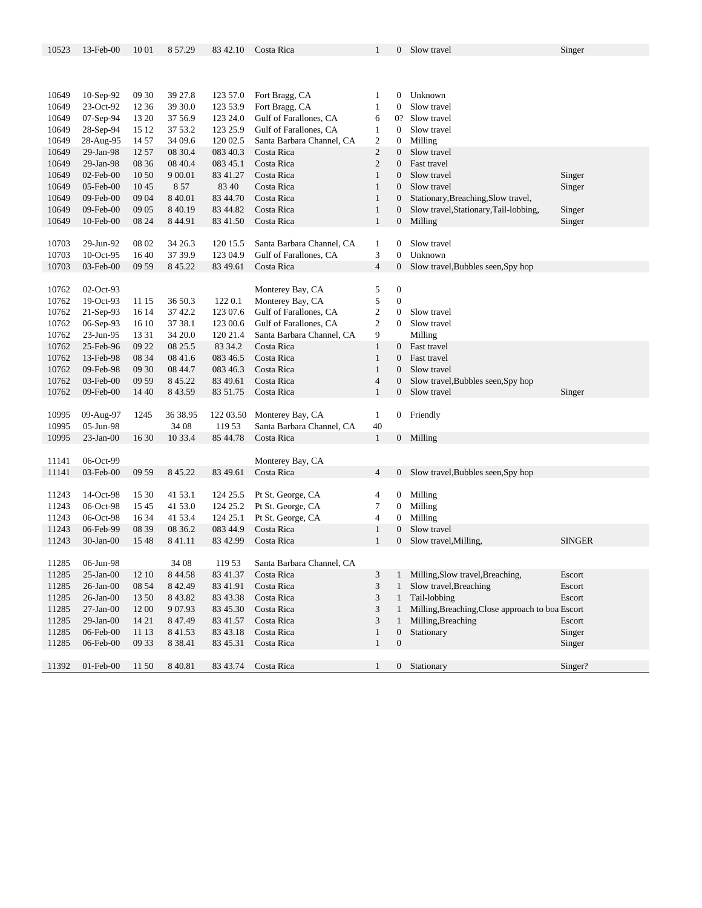| 10523 | 13-Feb-00       | 10 01 | 8 57.29   | 83 42.10  | Costa Rica                | 1                        | 0                | Slow travel                                      | Singer        |
|-------|-----------------|-------|-----------|-----------|---------------------------|--------------------------|------------------|--------------------------------------------------|---------------|
|       |                 |       |           |           |                           |                          |                  |                                                  |               |
|       |                 |       |           |           |                           |                          |                  |                                                  |               |
|       |                 |       |           |           |                           |                          |                  |                                                  |               |
|       |                 |       |           |           |                           |                          |                  |                                                  |               |
| 10649 | 10-Sep-92       | 09 30 | 39 27.8   | 123 57.0  | Fort Bragg, CA            | 1                        | 0                | Unknown                                          |               |
| 10649 | 23-Oct-92       | 12 36 | 39 30.0   | 123 53.9  | Fort Bragg, CA            | $\mathbf{1}$             | 0                | Slow travel                                      |               |
| 10649 | 07-Sep-94       | 13 20 | 37 56.9   | 123 24.0  | Gulf of Farallones, CA    | 6                        | 0?               | Slow travel                                      |               |
| 10649 | 28-Sep-94       | 15 12 | 37 53.2   | 123 25.9  | Gulf of Farallones, CA    | 1                        | $\overline{0}$   | Slow travel                                      |               |
| 10649 | 28-Aug-95       | 14 57 | 34 09.6   | 120 02.5  | Santa Barbara Channel, CA | $\overline{c}$           | 0                | Milling                                          |               |
| 10649 | 29-Jan-98       | 12 57 | 08 30.4   | 083 40.3  | Costa Rica                | $\overline{c}$           | $\overline{0}$   | Slow travel                                      |               |
| 10649 | 29-Jan-98       | 08 36 | 08 40.4   | 083 45.1  | Costa Rica                | $\overline{c}$           | $\overline{0}$   | Fast travel                                      |               |
| 10649 | 02-Feb-00       | 10 50 | 9 00.01   | 83 41.27  | Costa Rica                | $\mathbf{1}$             | $\overline{0}$   | Slow travel                                      | Singer        |
| 10649 | 05-Feb-00       | 1045  | 8 5 7     | 83 40     | Costa Rica                | $\mathbf{1}$             | $\overline{0}$   | Slow travel                                      | Singer        |
|       |                 |       |           |           |                           |                          |                  |                                                  |               |
| 10649 | 09-Feb-00       | 09 04 | 8 4 0.01  | 83 44.70  | Costa Rica                | $\mathbf{1}$             | 0                | Stationary, Breaching, Slow travel,              |               |
| 10649 | 09-Feb-00       | 09 05 | 8 4 0.19  | 83 44.82  | Costa Rica                | $\mathbf{1}$             | $\boldsymbol{0}$ | Slow travel, Stationary, Tail-lobbing,           | Singer        |
| 10649 | 10-Feb-00       | 08 24 | 8 4 4.91  | 83 41.50  | Costa Rica                | $\mathbf{1}$             | $\mathbf{0}$     | Milling                                          | Singer        |
|       |                 |       |           |           |                           |                          |                  |                                                  |               |
| 10703 | 29-Jun-92       | 08 02 | 34 26.3   | 120 15.5  | Santa Barbara Channel, CA | 1                        | 0                | Slow travel                                      |               |
| 10703 | 10-Oct-95       | 1640  | 37 39.9   | 123 04.9  | Gulf of Farallones, CA    | 3                        | $\overline{0}$   | Unknown                                          |               |
| 10703 | 03-Feb-00       | 09 59 | 8 45.22   | 83 49.61  | Costa Rica                | $\overline{4}$           | $\mathbf{0}$     | Slow travel, Bubbles seen, Spy hop               |               |
|       |                 |       |           |           |                           |                          |                  |                                                  |               |
| 10762 | 02-Oct-93       |       |           |           | Monterey Bay, CA          | 5                        | $\boldsymbol{0}$ |                                                  |               |
|       |                 |       |           |           |                           |                          | $\overline{0}$   |                                                  |               |
| 10762 | 19-Oct-93       | 11 15 | 36 50.3   | 122 0.1   | Monterey Bay, CA          | 5                        |                  |                                                  |               |
| 10762 | $21-Sep-93$     | 16 14 | 37 42.2   | 123 07.6  | Gulf of Farallones, CA    | $\overline{c}$           | $\mathbf{0}$     | Slow travel                                      |               |
| 10762 | 06-Sep-93       | 16 10 | 37 38.1   | 123 00.6  | Gulf of Farallones, CA    | $\overline{c}$           | $\overline{0}$   | Slow travel                                      |               |
| 10762 | 23-Jun-95       | 13 31 | 34 20.0   | 120 21.4  | Santa Barbara Channel, CA | 9                        |                  | Milling                                          |               |
| 10762 | 25-Feb-96       | 09 22 | 08 25.5   | 83 34.2   | Costa Rica                | $\mathbf{1}$             | $\overline{0}$   | Fast travel                                      |               |
| 10762 | 13-Feb-98       | 08 34 | 08 41.6   | 083 46.5  | Costa Rica                | $\mathbf{1}$             | $\overline{0}$   | Fast travel                                      |               |
| 10762 | 09-Feb-98       | 09 30 | 08 44.7   | 083 46.3  | Costa Rica                | $\mathbf{1}$             | 0                | Slow travel                                      |               |
| 10762 | 03-Feb-00       | 09 59 | 8 45.22   | 83 49.61  | Costa Rica                | $\overline{\mathcal{L}}$ | 0                | Slow travel, Bubbles seen, Spy hop               |               |
| 10762 | 09-Feb-00       | 14 40 | 8 4 3.59  | 83 51.75  | Costa Rica                | $\mathbf{1}$             | $\overline{0}$   | Slow travel                                      | Singer        |
|       |                 |       |           |           |                           |                          |                  |                                                  |               |
| 10995 | 09-Aug-97       | 1245  | 36 38.95  | 122 03.50 | Monterey Bay, CA          | $\mathbf{1}$             |                  | Friendly                                         |               |
|       |                 |       |           |           |                           |                          | $\rm 0$          |                                                  |               |
| 10995 | 05-Jun-98       |       | 34 08     | 119 53    | Santa Barbara Channel, CA | 40                       |                  |                                                  |               |
| 10995 | $23$ -Jan- $00$ | 16 30 | 10 33.4   | 85 44.78  | Costa Rica                | $\mathbf{1}$             |                  | 0 Milling                                        |               |
|       |                 |       |           |           |                           |                          |                  |                                                  |               |
| 11141 | 06-Oct-99       |       |           |           | Monterey Bay, CA          |                          |                  |                                                  |               |
| 11141 | 03-Feb-00       | 09 59 | 8 45.22   | 83 49.61  | Costa Rica                | $\overline{4}$           | $\rm 0^-$        | Slow travel, Bubbles seen, Spy hop               |               |
|       |                 |       |           |           |                           |                          |                  |                                                  |               |
| 11243 | 14-Oct-98       | 15 30 | 41 53.1   | 124 25.5  | Pt St. George, CA         | 4                        | $\mathbf{0}$     | Milling                                          |               |
| 11243 | 06-Oct-98       | 1545  | 41 53.0   | 124 25.2  | Pt St. George, CA         | 7                        | $\overline{0}$   | Milling                                          |               |
| 11243 | 06-Oct-98       | 16 34 | 41 53.4   | 124 25.1  | Pt St. George, CA         | $\overline{4}$           | $\mathbf{0}$     | Milling                                          |               |
| 11243 | 06-Feb-99       | 08 39 | 08 36.2   | 083 44.9  | Costa Rica                | $\mathbf{1}$             | 0                | Slow travel                                      |               |
|       |                 |       |           | 83 42.99  |                           | $\mathbf{1}$             |                  |                                                  |               |
| 11243 | $30-Ian-00$     | 15 48 | 841.11    |           | Costa Rica                |                          | $\boldsymbol{0}$ | Slow travel, Milling,                            | <b>SINGER</b> |
|       |                 |       |           |           |                           |                          |                  |                                                  |               |
| 11285 | 06-Jun-98       |       | 34 08     | 119 53    | Santa Barbara Channel, CA |                          |                  |                                                  |               |
| 11285 | $25$ -Jan- $00$ | 12 10 | 8 4 4.58  | 83 41.37  | Costa Rica                | 3                        | 1                | Milling, Slow travel, Breaching,                 | Escort        |
| 11285 | $26$ -Jan- $00$ | 08 54 | 8 4 2.49  | 83 41.91  | Costa Rica                | 3                        | $\mathbf{1}$     | Slow travel, Breaching                           | Escort        |
| 11285 | $26$ -Jan- $00$ | 13 50 | 8 4 3.8 2 | 83 43.38  | Costa Rica                | 3                        | $\mathbf{1}$     | Tail-lobbing                                     | Escort        |
| 11285 | $27-Jan-00$     | 12 00 | 9 0 7.93  | 83 45.30  | Costa Rica                | 3                        | $\mathbf{1}$     | Milling, Breaching, Close approach to boa Escort |               |
| 11285 | $29$ -Jan- $00$ | 14 21 | 8 4 7 4 9 | 83 41.57  | Costa Rica                | 3                        | 1                | Milling, Breaching                               | Escort        |
| 11285 | 06-Feb-00       | 11 13 | 841.53    | 83 43.18  | Costa Rica                | $\mathbf{1}$             | $\mathbf{0}$     | Stationary                                       | Singer        |
| 11285 | 06-Feb-00       | 09 33 | 8 3 8 4 1 | 83 45.31  | Costa Rica                | $\mathbf{1}$             | $\boldsymbol{0}$ |                                                  | Singer        |
|       |                 |       |           |           |                           |                          |                  |                                                  |               |
|       |                 |       |           |           |                           |                          |                  |                                                  |               |
| 11392 | 01-Feb-00       | 11 50 | 8 4 0.81  | 83 43.74  | Costa Rica                | $\mathbf{1}$             |                  | 0 Stationary                                     | Singer?       |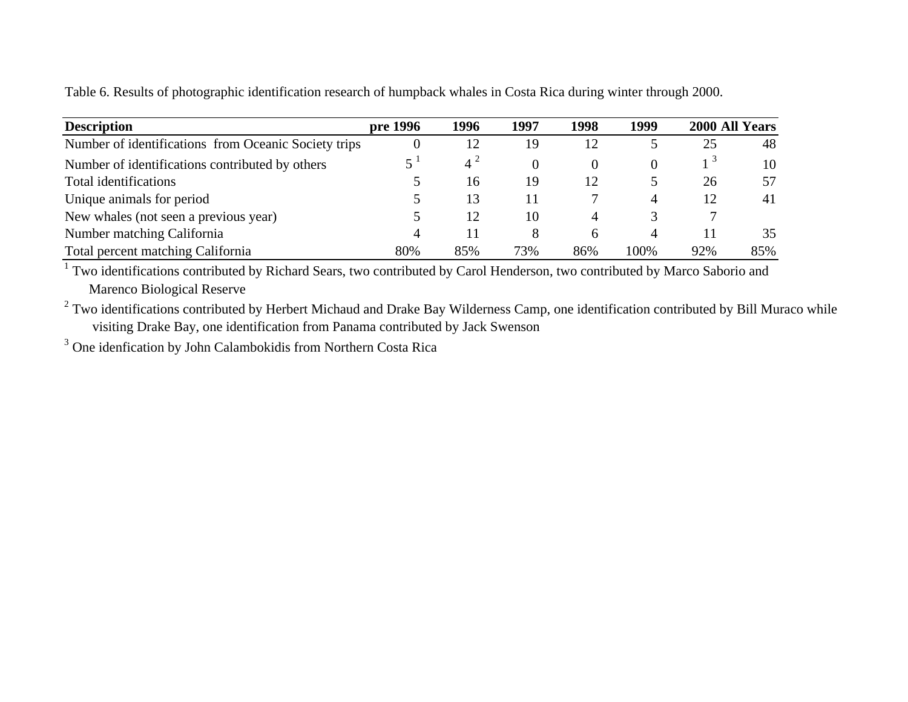Table 6. Results of photographic identification research of humpback whales in Costa Rica during winter through 2000.

| <b>Description</b>                                   | pre 1996 | 1996         | 1997 | 1998 | 1999 |     | 2000 All Years |
|------------------------------------------------------|----------|--------------|------|------|------|-----|----------------|
| Number of identifications from Oceanic Society trips |          | 12           | 19   | 12   |      | 25  | 48             |
| Number of identifications contributed by others      |          | $4^{\prime}$ |      |      |      |     | 10             |
| Total identifications                                |          | 16           | 19   | 12   |      | 26  | 57             |
| Unique animals for period                            |          | 13           | 11   |      | 4    | 12  | 41             |
| New whales (not seen a previous year)                |          | 12           | 10   | 4    |      |     |                |
| Number matching California                           |          |              |      | h    | 4    |     | 35             |
| Total percent matching California                    | 80%      | 85%          | 73%  | 86%  | 100% | 92% | 85%            |

<sup>1</sup> Two identifications contributed by Richard Sears, two contributed by Carol Henderson, two contributed by Marco Saborio and Marenco Biological Reserve

 $2$  Two identifications contributed by Herbert Michaud and Drake Bay Wilderness Camp, one identification contributed by Bill Muraco while visiting Drake Bay, one identification from Panama contributed by Jack Swenson

<sup>3</sup> One idenfication by John Calambokidis from Northern Costa Rica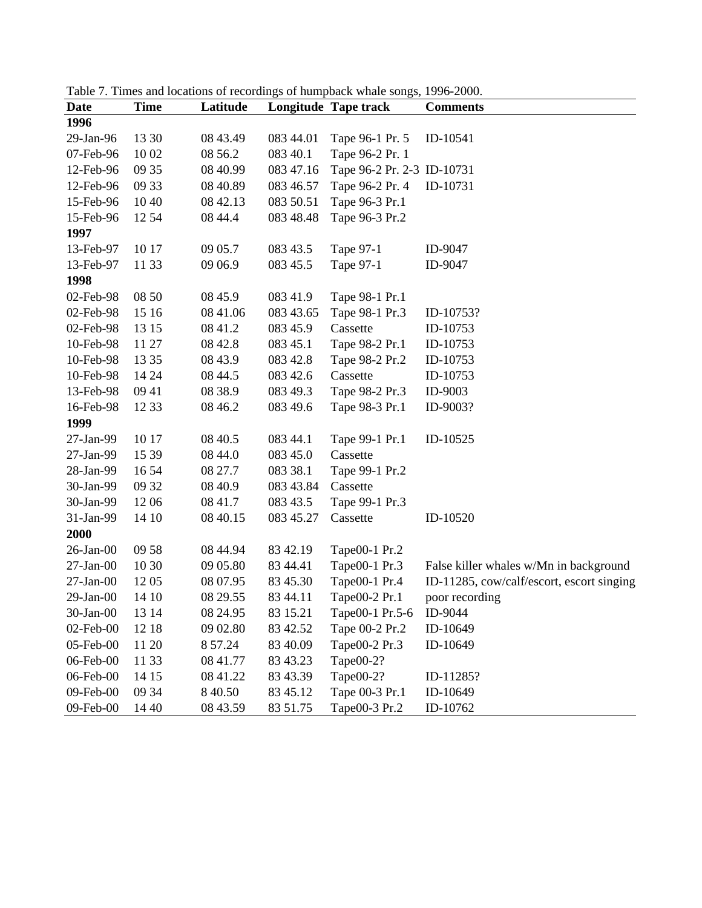| <b>Date</b>     | <b>Time</b> | Latitude |           | <b>Longitude Tape track</b> | <b>Comments</b>                           |
|-----------------|-------------|----------|-----------|-----------------------------|-------------------------------------------|
| 1996            |             |          |           |                             |                                           |
| 29-Jan-96       | 13 30       | 08 43.49 | 083 44.01 | Tape 96-1 Pr. 5             | ID-10541                                  |
| 07-Feb-96       | 10 02       | 08 56.2  | 083 40.1  | Tape 96-2 Pr. 1             |                                           |
| 12-Feb-96       | 09 35       | 08 40.99 | 083 47.16 | Tape 96-2 Pr. 2-3 ID-10731  |                                           |
| 12-Feb-96       | 09 33       | 08 40.89 | 083 46.57 | Tape 96-2 Pr. 4             | ID-10731                                  |
| 15-Feb-96       | 1040        | 08 42.13 | 083 50.51 | Tape 96-3 Pr.1              |                                           |
| 15-Feb-96       | 12 54       | 08 44.4  | 083 48.48 | Tape 96-3 Pr.2              |                                           |
| 1997            |             |          |           |                             |                                           |
| 13-Feb-97       | 10 17       | 09 05.7  | 083 43.5  | Tape 97-1                   | ID-9047                                   |
| 13-Feb-97       | 11 33       | 09 06.9  | 083 45.5  | Tape 97-1                   | ID-9047                                   |
| 1998            |             |          |           |                             |                                           |
| 02-Feb-98       | 08 50       | 08 45.9  | 083 41.9  | Tape 98-1 Pr.1              |                                           |
| 02-Feb-98       | 15 16       | 08 41.06 | 083 43.65 | Tape 98-1 Pr.3              | ID-10753?                                 |
| 02-Feb-98       | 13 15       | 08 41.2  | 083 45.9  | Cassette                    | ID-10753                                  |
| 10-Feb-98       | 11 27       | 08 42.8  | 083 45.1  | Tape 98-2 Pr.1              | ID-10753                                  |
| 10-Feb-98       | 13 35       | 08 43.9  | 083 42.8  | Tape 98-2 Pr.2              | ID-10753                                  |
| 10-Feb-98       | 14 24       | 08 44.5  | 083 42.6  | Cassette                    | ID-10753                                  |
| 13-Feb-98       | 09 41       | 08 38.9  | 083 49.3  | Tape 98-2 Pr.3              | ID-9003                                   |
| 16-Feb-98       | 12 33       | 08 46.2  | 083 49.6  | Tape 98-3 Pr.1              | ID-9003?                                  |
| 1999            |             |          |           |                             |                                           |
| 27-Jan-99       | 10 17       | 08 40.5  | 083 44.1  | Tape 99-1 Pr.1              | ID-10525                                  |
| 27-Jan-99       | 15 39       | 08 44.0  | 083 45.0  | Cassette                    |                                           |
| 28-Jan-99       | 1654        | 08 27.7  | 083 38.1  | Tape 99-1 Pr.2              |                                           |
| 30-Jan-99       | 09 32       | 08 40.9  | 083 43.84 | Cassette                    |                                           |
| 30-Jan-99       | 1206        | 08 41.7  | 083 43.5  | Tape 99-1 Pr.3              |                                           |
| 31-Jan-99       | 14 10       | 08 40.15 | 083 45.27 | Cassette                    | ID-10520                                  |
| 2000            |             |          |           |                             |                                           |
| $26$ -Jan- $00$ | 09 58       | 08 44.94 | 83 42.19  | Tape00-1 Pr.2               |                                           |
| $27$ -Jan- $00$ | 10 30       | 09 05.80 | 83 44.41  | Tape00-1 Pr.3               | False killer whales w/Mn in background    |
| $27$ -Jan- $00$ | 12 05       | 08 07.95 | 83 45.30  | Tape00-1 Pr.4               | ID-11285, cow/calf/escort, escort singing |
| $29$ -Jan- $00$ | 14 10       | 08 29.55 | 83 44.11  | Tape00-2 Pr.1               | poor recording                            |
| 30-Jan-00       | 13 14       | 08 24.95 | 83 15.21  | Tape00-1 Pr.5-6             | ID-9044                                   |
| $02$ -Feb- $00$ | 12 18       | 09 02.80 | 83 42.52  | Tape 00-2 Pr.2              | ID-10649                                  |
| 05-Feb-00       | 11 20       | 8 57.24  | 83 40.09  | Tape00-2 Pr.3               | ID-10649                                  |
| 06-Feb-00       | 11 33       | 08 41.77 | 83 43.23  | Tape00-2?                   |                                           |
| 06-Feb-00       | 14 15       | 08 41.22 | 83 43.39  | Tape00-2?                   | ID-11285?                                 |
| 09-Feb-00       | 09 34       | 8 4 0.50 | 83 45.12  | Tape 00-3 Pr.1              | ID-10649                                  |
| 09-Feb-00       | 14 40       | 08 43.59 | 83 51.75  | Tape00-3 Pr.2               | ID-10762                                  |

Table 7. Times and locations of recordings of humpback whale songs, 1996-2000.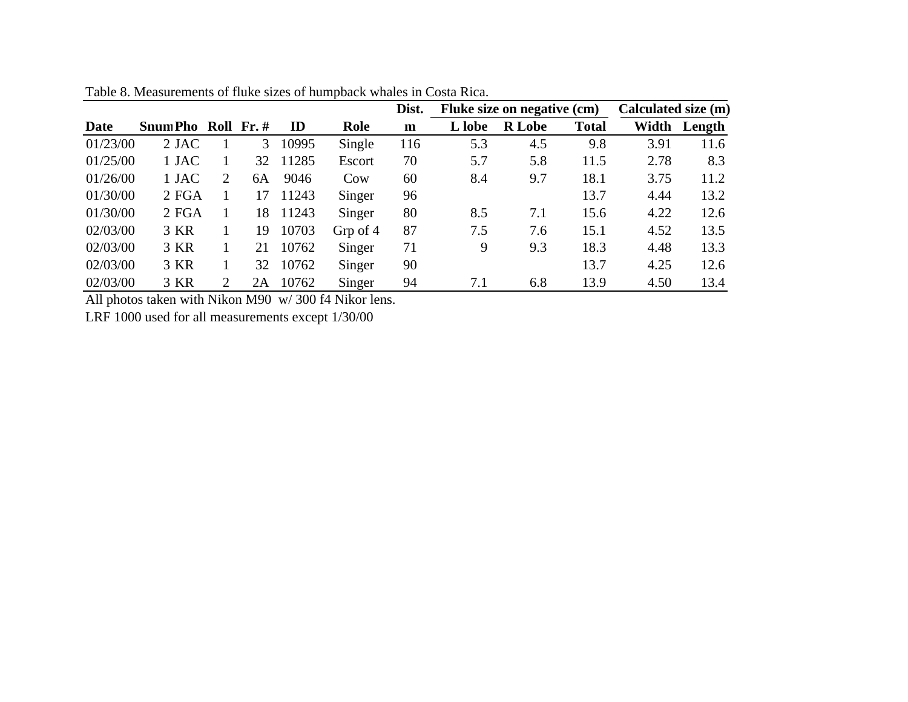|          |                     |   |    |       |          | Dist. | Fluke size on negative (cm) |               |              | Calculated size (m) |        |  |
|----------|---------------------|---|----|-------|----------|-------|-----------------------------|---------------|--------------|---------------------|--------|--|
| Date     | Snum Pho Roll Fr. # |   |    | ID    | Role     | m     | L lobe                      | <b>R</b> Lobe | <b>Total</b> | Width               | Length |  |
| 01/23/00 | 2 JAC               |   | 3  | 10995 | Single   | 116   | 5.3                         | 4.5           | 9.8          | 3.91                | 11.6   |  |
| 01/25/00 | 1 JAC               |   | 32 | 11285 | Escort   | 70    | 5.7                         | 5.8           | 11.5         | 2.78                | 8.3    |  |
| 01/26/00 | 1 JAC               | 2 | 6A | 9046  | Cow      | 60    | 8.4                         | 9.7           | 18.1         | 3.75                | 11.2   |  |
| 01/30/00 | 2 FGA               |   | 17 | 11243 | Singer   | 96    |                             |               | 13.7         | 4.44                | 13.2   |  |
| 01/30/00 | 2 FGA               |   | 18 | 11243 | Singer   | 80    | 8.5                         | 7.1           | 15.6         | 4.22                | 12.6   |  |
| 02/03/00 | 3 KR                |   | 19 | 10703 | Grp of 4 | 87    | 7.5                         | 7.6           | 15.1         | 4.52                | 13.5   |  |
| 02/03/00 | 3 KR                |   | 21 | 10762 | Singer   | 71    | 9                           | 9.3           | 18.3         | 4.48                | 13.3   |  |
| 02/03/00 | 3 KR                |   | 32 | 10762 | Singer   | 90    |                             |               | 13.7         | 4.25                | 12.6   |  |
| 02/03/00 | 3 KR                | 2 | 2A | 10762 | Singer   | 94    | 7.1                         | 6.8           | 13.9         | 4.50                | 13.4   |  |

Table 8. Measurements of fluke sizes of humpback whales in Costa Rica.

All photos taken with Nikon M90 w/ 300 f4 Nikor lens.

LRF 1000 used for all measurements except 1/30/00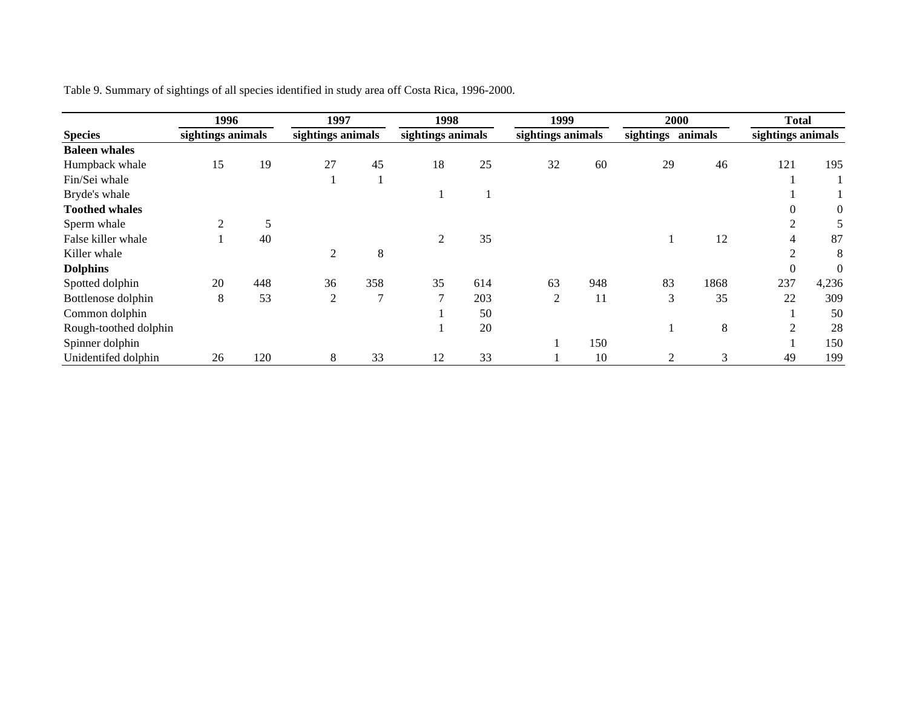|                       | 1996<br>sightings animals |     | 1997<br>sightings animals |               | 1998           |                   | 1999           |                   | 2000 |         | <b>Total</b>      |                |
|-----------------------|---------------------------|-----|---------------------------|---------------|----------------|-------------------|----------------|-------------------|------|---------|-------------------|----------------|
| <b>Species</b>        |                           |     |                           |               |                | sightings animals |                | sightings animals |      | animals | sightings animals |                |
| <b>Baleen</b> whales  |                           |     |                           |               |                |                   |                |                   |      |         |                   |                |
| Humpback whale        | 15                        | 19  | 27                        | 45            | 18             | 25                | 32             | 60                | 29   | 46      | 121               | 195            |
| Fin/Sei whale         |                           |     |                           |               |                |                   |                |                   |      |         |                   |                |
| Bryde's whale         |                           |     |                           |               |                |                   |                |                   |      |         |                   |                |
| <b>Toothed whales</b> |                           |     |                           |               |                |                   |                |                   |      |         |                   | $\overline{0}$ |
| Sperm whale           | $\mathcal{D}$             |     |                           |               |                |                   |                |                   |      |         |                   |                |
| False killer whale    |                           | 40  |                           |               | 2              | 35                |                |                   |      | 12      |                   | 87             |
| Killer whale          |                           |     |                           | $\,8\,$       |                |                   |                |                   |      |         |                   | 8              |
| <b>Dolphins</b>       |                           |     |                           |               |                |                   |                |                   |      |         | $\Omega$          | $\Omega$       |
| Spotted dolphin       | 20                        | 448 | 36                        | 358           | 35             | 614               | 63             | 948               | 83   | 1868    | 237               | 4,236          |
| Bottlenose dolphin    | 8                         | 53  | 2                         | $\mathcal{L}$ | $\overline{7}$ | 203               | $\overline{2}$ | 11                | 3    | 35      | 22                | 309            |
| Common dolphin        |                           |     |                           |               |                | 50                |                |                   |      |         |                   | 50             |
| Rough-toothed dolphin |                           |     |                           |               |                | 20                |                |                   |      | 8       | ⌒                 | 28             |
| Spinner dolphin       |                           |     |                           |               |                |                   |                | 150               |      |         |                   | 150            |
| Unidentifed dolphin   | 26                        | 120 | 8                         | 33            | 12             | 33                |                | 10                |      | 3       | 49                | 199            |

Table 9. Summary of sightings of all species identified in study area off Costa Rica, 1996-2000.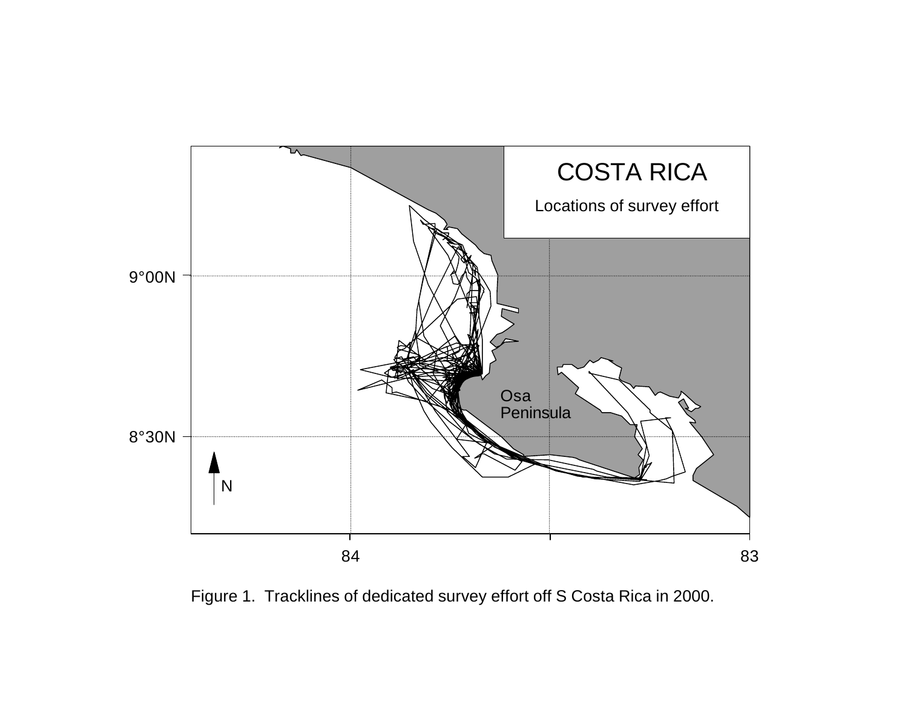

Figure 1. Tracklines of dedicated survey effort off S Costa Rica in 2000.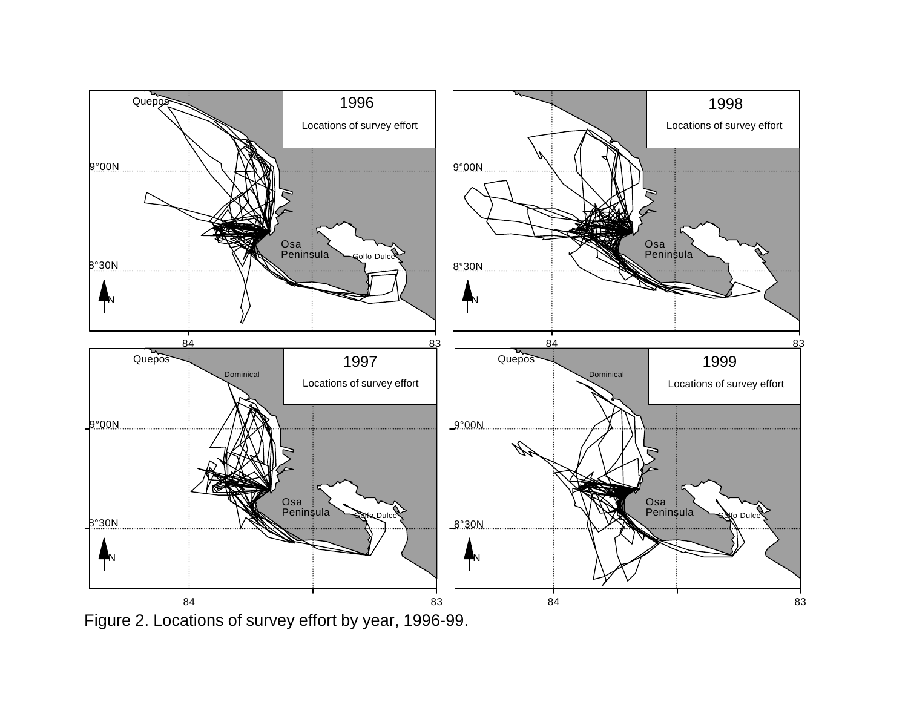

Figure 2. Locations of survey effort by year, 1996-99.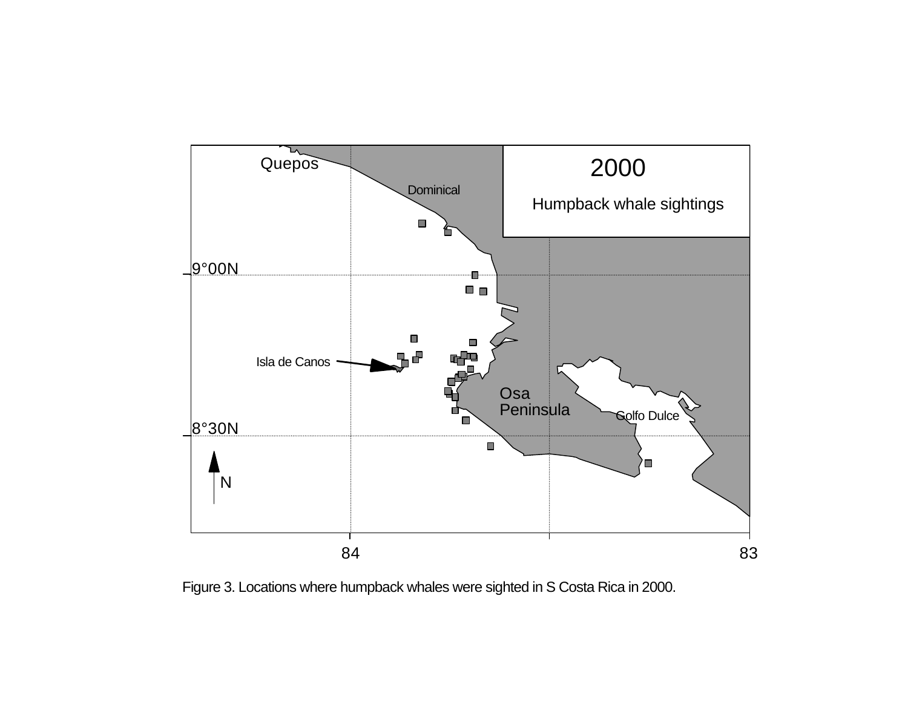

Figure 3. Locations where humpback whales were sighted in S Costa Rica in 2000.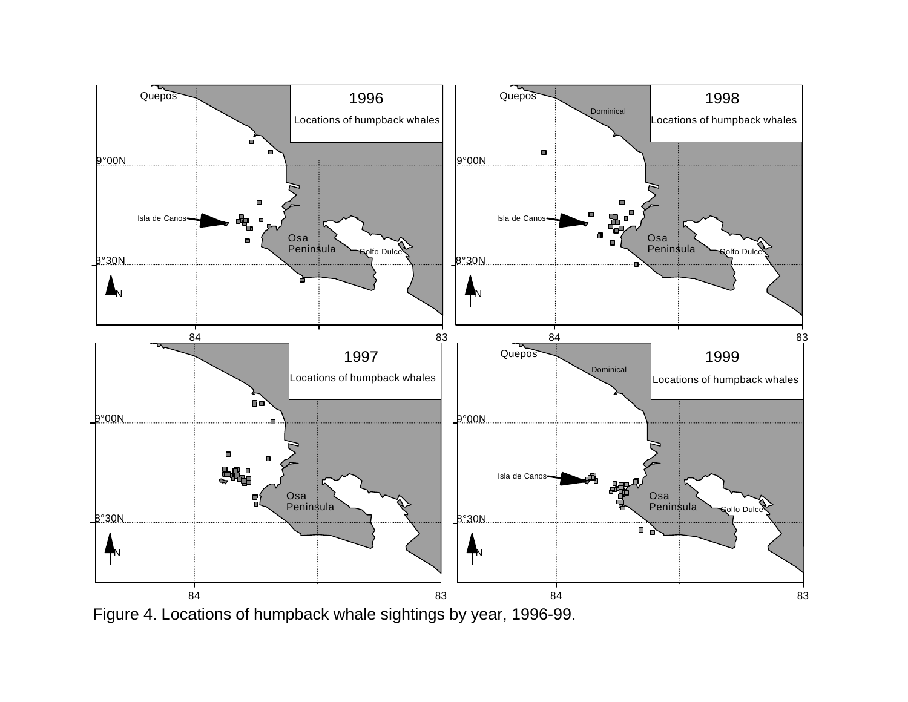

Figure 4. Locations of humpback whale sightings by year, 1996-99.